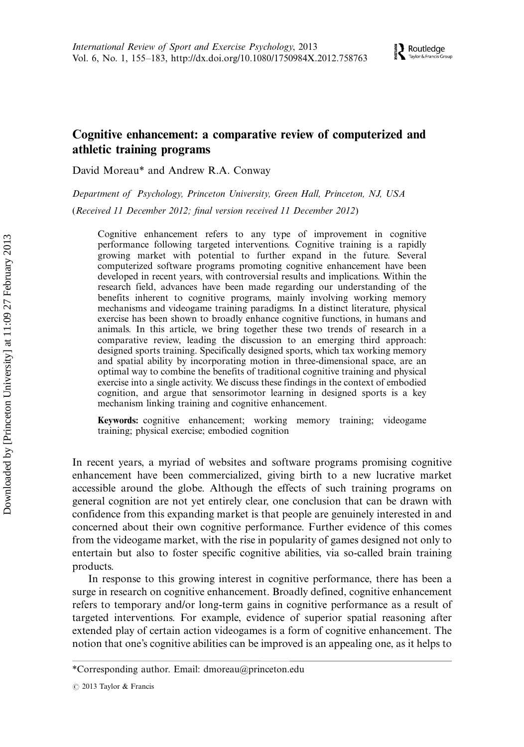# Cognitive enhancement: a comparative review of computerized and athletic training programs

David Moreau\* and Andrew R.A. Conway

Department of Psychology, Princeton University, Green Hall, Princeton, NJ, USA

(Received 11 December 2012; final version received 11 December 2012)

Cognitive enhancement refers to any type of improvement in cognitive performance following targeted interventions. Cognitive training is a rapidly growing market with potential to further expand in the future. Several computerized software programs promoting cognitive enhancement have been developed in recent years, with controversial results and implications. Within the research field, advances have been made regarding our understanding of the benefits inherent to cognitive programs, mainly involving working memory mechanisms and videogame training paradigms. In a distinct literature, physical exercise has been shown to broadly enhance cognitive functions, in humans and animals. In this article, we bring together these two trends of research in a comparative review, leading the discussion to an emerging third approach: designed sports training. Specifically designed sports, which tax working memory and spatial ability by incorporating motion in three-dimensional space, are an optimal way to combine the benefits of traditional cognitive training and physical exercise into a single activity. We discuss these findings in the context of embodied cognition, and argue that sensorimotor learning in designed sports is a key mechanism linking training and cognitive enhancement.

Keywords: cognitive enhancement; working memory training; videogame training; physical exercise; embodied cognition

In recent years, a myriad of websites and software programs promising cognitive enhancement have been commercialized, giving birth to a new lucrative market accessible around the globe. Although the effects of such training programs on general cognition are not yet entirely clear, one conclusion that can be drawn with confidence from this expanding market is that people are genuinely interested in and concerned about their own cognitive performance. Further evidence of this comes from the videogame market, with the rise in popularity of games designed not only to entertain but also to foster specific cognitive abilities, via so-called brain training products.

In response to this growing interest in cognitive performance, there has been a surge in research on cognitive enhancement. Broadly defined, cognitive enhancement refers to temporary and/or long-term gains in cognitive performance as a result of targeted interventions. For example, evidence of superior spatial reasoning after extended play of certain action videogames is a form of cognitive enhancement. The notion that one's cognitive abilities can be improved is an appealing one, as it helps to

<sup>\*</sup>Corresponding author. Email: dmoreau@princeton.edu

 $\circ$  2013 Taylor & Francis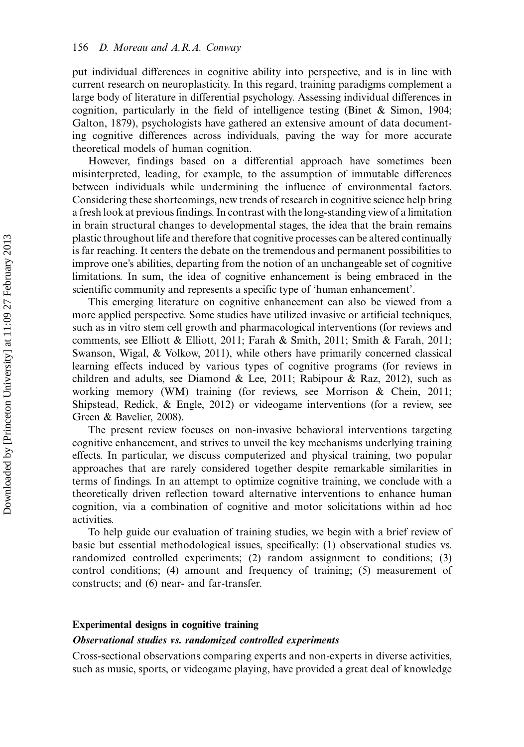put individual differences in cognitive ability into perspective, and is in line with current research on neuroplasticity. In this regard, training paradigms complement a large body of literature in differential psychology. Assessing individual differences in cognition, particularly in the field of intelligence testing (Binet & Simon, 1904; Galton, 1879), psychologists have gathered an extensive amount of data documenting cognitive differences across individuals, paving the way for more accurate theoretical models of human cognition.

However, findings based on a differential approach have sometimes been misinterpreted, leading, for example, to the assumption of immutable differences between individuals while undermining the influence of environmental factors. Considering these shortcomings, new trends of research in cognitive science help bring a fresh look at previous findings. In contrast with the long-standing view of a limitation in brain structural changes to developmental stages, the idea that the brain remains plastic throughout life and therefore that cognitive processes can be altered continually is far reaching. It centers the debate on the tremendous and permanent possibilities to improve one's abilities, departing from the notion of an unchangeable set of cognitive limitations. In sum, the idea of cognitive enhancement is being embraced in the scientific community and represents a specific type of 'human enhancement'.

This emerging literature on cognitive enhancement can also be viewed from a more applied perspective. Some studies have utilized invasive or artificial techniques, such as in vitro stem cell growth and pharmacological interventions (for reviews and comments, see Elliott & Elliott, 2011; Farah & Smith, 2011; Smith & Farah, 2011; Swanson, Wigal, & Volkow, 2011), while others have primarily concerned classical learning effects induced by various types of cognitive programs (for reviews in children and adults, see Diamond & Lee, 2011; Rabipour & Raz, 2012), such as working memory (WM) training (for reviews, see Morrison & Chein, 2011; Shipstead, Redick, & Engle, 2012) or videogame interventions (for a review, see Green & Bavelier, 2008).

The present review focuses on non-invasive behavioral interventions targeting cognitive enhancement, and strives to unveil the key mechanisms underlying training effects. In particular, we discuss computerized and physical training, two popular approaches that are rarely considered together despite remarkable similarities in terms of findings. In an attempt to optimize cognitive training, we conclude with a theoretically driven reflection toward alternative interventions to enhance human cognition, via a combination of cognitive and motor solicitations within ad hoc activities.

To help guide our evaluation of training studies, we begin with a brief review of basic but essential methodological issues, specifically: (1) observational studies vs. randomized controlled experiments; (2) random assignment to conditions; (3) control conditions; (4) amount and frequency of training; (5) measurement of constructs; and (6) near- and far-transfer.

#### Experimental designs in cognitive training

#### Observational studies vs. randomized controlled experiments

Cross-sectional observations comparing experts and non-experts in diverse activities, such as music, sports, or videogame playing, have provided a great deal of knowledge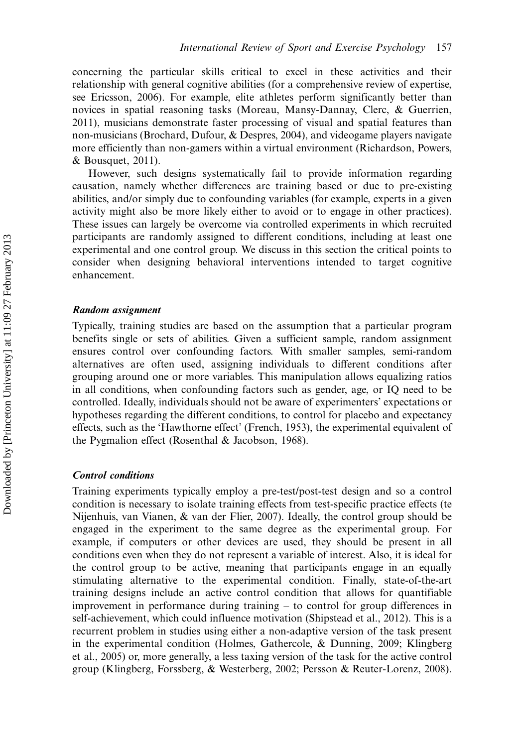concerning the particular skills critical to excel in these activities and their relationship with general cognitive abilities (for a comprehensive review of expertise, see Ericsson, 2006). For example, elite athletes perform significantly better than novices in spatial reasoning tasks (Moreau, Mansy-Dannay, Clerc, & Guerrien, 2011), musicians demonstrate faster processing of visual and spatial features than non-musicians (Brochard, Dufour, & Despres, 2004), and videogame players navigate more efficiently than non-gamers within a virtual environment (Richardson, Powers, & Bousquet, 2011).

However, such designs systematically fail to provide information regarding causation, namely whether differences are training based or due to pre-existing abilities, and/or simply due to confounding variables (for example, experts in a given activity might also be more likely either to avoid or to engage in other practices). These issues can largely be overcome via controlled experiments in which recruited participants are randomly assigned to different conditions, including at least one experimental and one control group. We discuss in this section the critical points to consider when designing behavioral interventions intended to target cognitive enhancement.

### Random assignment

Typically, training studies are based on the assumption that a particular program benefits single or sets of abilities. Given a sufficient sample, random assignment ensures control over confounding factors. With smaller samples, semi-random alternatives are often used, assigning individuals to different conditions after grouping around one or more variables. This manipulation allows equalizing ratios in all conditions, when confounding factors such as gender, age, or IQ need to be controlled. Ideally, individuals should not be aware of experimenters' expectations or hypotheses regarding the different conditions, to control for placebo and expectancy effects, such as the 'Hawthorne effect' (French, 1953), the experimental equivalent of the Pygmalion effect (Rosenthal & Jacobson, 1968).

### Control conditions

Training experiments typically employ a pre-test/post-test design and so a control condition is necessary to isolate training effects from test-specific practice effects (te Nijenhuis, van Vianen, & van der Flier, 2007). Ideally, the control group should be engaged in the experiment to the same degree as the experimental group. For example, if computers or other devices are used, they should be present in all conditions even when they do not represent a variable of interest. Also, it is ideal for the control group to be active, meaning that participants engage in an equally stimulating alternative to the experimental condition. Finally, state-of-the-art training designs include an active control condition that allows for quantifiable improvement in performance during training  $-$  to control for group differences in self-achievement, which could influence motivation (Shipstead et al., 2012). This is a recurrent problem in studies using either a non-adaptive version of the task present in the experimental condition (Holmes, Gathercole, & Dunning, 2009; Klingberg et al., 2005) or, more generally, a less taxing version of the task for the active control group (Klingberg, Forssberg, & Westerberg, 2002; Persson & Reuter-Lorenz, 2008).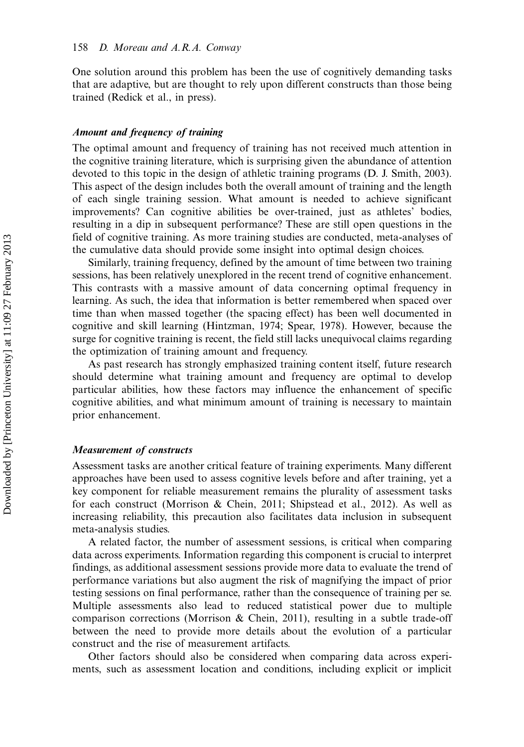One solution around this problem has been the use of cognitively demanding tasks that are adaptive, but are thought to rely upon different constructs than those being trained (Redick et al., in press).

## Amount and frequency of training

The optimal amount and frequency of training has not received much attention in the cognitive training literature, which is surprising given the abundance of attention devoted to this topic in the design of athletic training programs (D. J. Smith, 2003). This aspect of the design includes both the overall amount of training and the length of each single training session. What amount is needed to achieve significant improvements? Can cognitive abilities be over-trained, just as athletes' bodies, resulting in a dip in subsequent performance? These are still open questions in the field of cognitive training. As more training studies are conducted, meta-analyses of the cumulative data should provide some insight into optimal design choices.

Similarly, training frequency, defined by the amount of time between two training sessions, has been relatively unexplored in the recent trend of cognitive enhancement. This contrasts with a massive amount of data concerning optimal frequency in learning. As such, the idea that information is better remembered when spaced over time than when massed together (the spacing effect) has been well documented in cognitive and skill learning (Hintzman, 1974; Spear, 1978). However, because the surge for cognitive training is recent, the field still lacks unequivocal claims regarding the optimization of training amount and frequency.

As past research has strongly emphasized training content itself, future research should determine what training amount and frequency are optimal to develop particular abilities, how these factors may influence the enhancement of specific cognitive abilities, and what minimum amount of training is necessary to maintain prior enhancement.

### Measurement of constructs

Assessment tasks are another critical feature of training experiments. Many different approaches have been used to assess cognitive levels before and after training, yet a key component for reliable measurement remains the plurality of assessment tasks for each construct (Morrison & Chein, 2011; Shipstead et al., 2012). As well as increasing reliability, this precaution also facilitates data inclusion in subsequent meta-analysis studies.

A related factor, the number of assessment sessions, is critical when comparing data across experiments. Information regarding this component is crucial to interpret findings, as additional assessment sessions provide more data to evaluate the trend of performance variations but also augment the risk of magnifying the impact of prior testing sessions on final performance, rather than the consequence of training per se. Multiple assessments also lead to reduced statistical power due to multiple comparison corrections (Morrison & Chein, 2011), resulting in a subtle trade-off between the need to provide more details about the evolution of a particular construct and the rise of measurement artifacts.

Other factors should also be considered when comparing data across experiments, such as assessment location and conditions, including explicit or implicit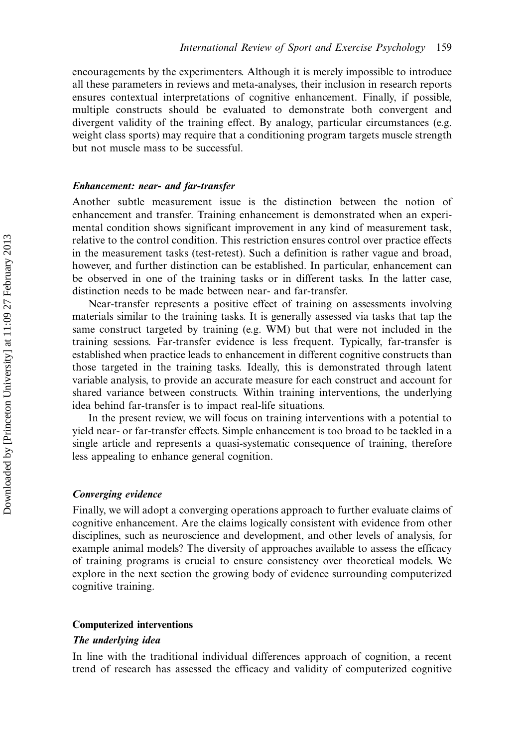encouragements by the experimenters. Although it is merely impossible to introduce all these parameters in reviews and meta-analyses, their inclusion in research reports ensures contextual interpretations of cognitive enhancement. Finally, if possible, multiple constructs should be evaluated to demonstrate both convergent and divergent validity of the training effect. By analogy, particular circumstances (e.g. weight class sports) may require that a conditioning program targets muscle strength but not muscle mass to be successful.

### Enhancement: near- and far-transfer

Another subtle measurement issue is the distinction between the notion of enhancement and transfer. Training enhancement is demonstrated when an experimental condition shows significant improvement in any kind of measurement task, relative to the control condition. This restriction ensures control over practice effects in the measurement tasks (test-retest). Such a definition is rather vague and broad, however, and further distinction can be established. In particular, enhancement can be observed in one of the training tasks or in different tasks. In the latter case, distinction needs to be made between near- and far-transfer.

Near-transfer represents a positive effect of training on assessments involving materials similar to the training tasks. It is generally assessed via tasks that tap the same construct targeted by training (e.g. WM) but that were not included in the training sessions. Far-transfer evidence is less frequent. Typically, far-transfer is established when practice leads to enhancement in different cognitive constructs than those targeted in the training tasks. Ideally, this is demonstrated through latent variable analysis, to provide an accurate measure for each construct and account for shared variance between constructs. Within training interventions, the underlying idea behind far-transfer is to impact real-life situations.

In the present review, we will focus on training interventions with a potential to yield near- or far-transfer effects. Simple enhancement is too broad to be tackled in a single article and represents a quasi-systematic consequence of training, therefore less appealing to enhance general cognition.

### Converging evidence

Finally, we will adopt a converging operations approach to further evaluate claims of cognitive enhancement. Are the claims logically consistent with evidence from other disciplines, such as neuroscience and development, and other levels of analysis, for example animal models? The diversity of approaches available to assess the efficacy of training programs is crucial to ensure consistency over theoretical models. We explore in the next section the growing body of evidence surrounding computerized cognitive training.

#### Computerized interventions

### The underlying idea

In line with the traditional individual differences approach of cognition, a recent trend of research has assessed the efficacy and validity of computerized cognitive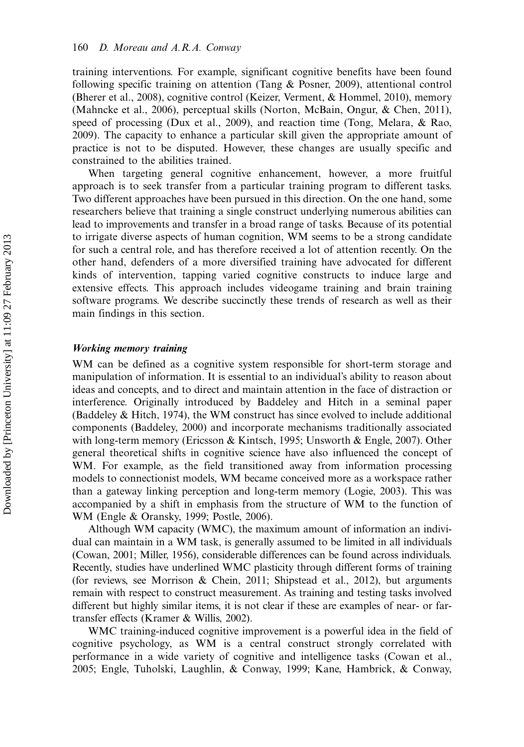training interventions. For example, significant cognitive benefits have been found following specific training on attention (Tang & Posner, 2009), attentional control (Bherer et al., 2008), cognitive control (Keizer, Verment, & Hommel, 2010), memory (Mahncke et al., 2006), perceptual skills (Norton, McBain, Ongur, & Chen, 2011), speed of processing (Dux et al., 2009), and reaction time (Tong, Melara, & Rao, 2009). The capacity to enhance a particular skill given the appropriate amount of practice is not to be disputed. However, these changes are usually specific and constrained to the abilities trained.

When targeting general cognitive enhancement, however, a more fruitful approach is to seek transfer from a particular training program to different tasks. Two different approaches have been pursued in this direction. On the one hand, some researchers believe that training a single construct underlying numerous abilities can lead to improvements and transfer in a broad range of tasks. Because of its potential to irrigate diverse aspects of human cognition, WM seems to be a strong candidate for such a central role, and has therefore received a lot of attention recently. On the other hand, defenders of a more diversified training have advocated for different kinds of intervention, tapping varied cognitive constructs to induce large and extensive effects. This approach includes videogame training and brain training software programs. We describe succinctly these trends of research as well as their main findings in this section.

#### Working memory training

WM can be defined as a cognitive system responsible for short-term storage and manipulation of information. It is essential to an individual's ability to reason about ideas and concepts, and to direct and maintain attention in the face of distraction or interference. Originally introduced by Baddeley and Hitch in a seminal paper (Baddeley & Hitch, 1974), the WM construct has since evolved to include additional components (Baddeley, 2000) and incorporate mechanisms traditionally associated with long-term memory (Ericsson & Kintsch, 1995; Unsworth & Engle, 2007). Other general theoretical shifts in cognitive science have also influenced the concept of WM. For example, as the field transitioned away from information processing models to connectionist models, WM became conceived more as a workspace rather than a gateway linking perception and long-term memory (Logie, 2003). This was accompanied by a shift in emphasis from the structure of WM to the function of WM (Engle & Oransky, 1999; Postle, 2006).

Although WM capacity (WMC), the maximum amount of information an individual can maintain in a WM task, is generally assumed to be limited in all individuals (Cowan, 2001; Miller, 1956), considerable differences can be found across individuals. Recently, studies have underlined WMC plasticity through different forms of training (for reviews, see Morrison & Chein, 2011; Shipstead et al., 2012), but arguments remain with respect to construct measurement. As training and testing tasks involved different but highly similar items, it is not clear if these are examples of near- or fartransfer effects (Kramer & Willis, 2002).

WMC training-induced cognitive improvement is a powerful idea in the field of cognitive psychology, as WM is a central construct strongly correlated with performance in a wide variety of cognitive and intelligence tasks (Cowan et al., 2005; Engle, Tuholski, Laughlin, & Conway, 1999; Kane, Hambrick, & Conway,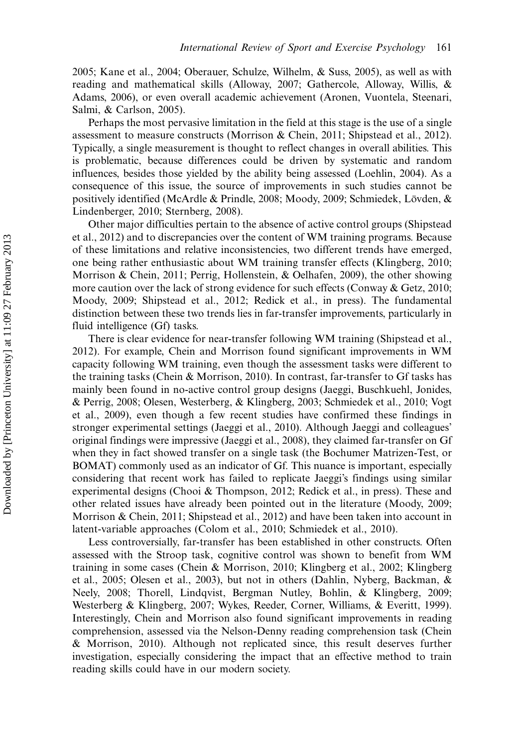2005; Kane et al., 2004; Oberauer, Schulze, Wilhelm, & Suss, 2005), as well as with reading and mathematical skills (Alloway, 2007; Gathercole, Alloway, Willis, & Adams, 2006), or even overall academic achievement (Aronen, Vuontela, Steenari, Salmi, & Carlson, 2005).

Perhaps the most pervasive limitation in the field at this stage is the use of a single assessment to measure constructs (Morrison & Chein, 2011; Shipstead et al., 2012). Typically, a single measurement is thought to reflect changes in overall abilities. This is problematic, because differences could be driven by systematic and random influences, besides those yielded by the ability being assessed (Loehlin, 2004). As a consequence of this issue, the source of improvements in such studies cannot be positively identified (McArdle & Prindle, 2008; Moody, 2009; Schmiedek, Lövden, & Lindenberger, 2010; Sternberg, 2008).

Other major difficulties pertain to the absence of active control groups (Shipstead et al., 2012) and to discrepancies over the content of WM training programs. Because of these limitations and relative inconsistencies, two different trends have emerged, one being rather enthusiastic about WM training transfer effects (Klingberg, 2010; Morrison & Chein, 2011; Perrig, Hollenstein, & Oelhafen, 2009), the other showing more caution over the lack of strong evidence for such effects (Conway & Getz, 2010; Moody, 2009; Shipstead et al., 2012; Redick et al., in press). The fundamental distinction between these two trends lies in far-transfer improvements, particularly in fluid intelligence (Gf) tasks.

There is clear evidence for near-transfer following WM training (Shipstead et al., 2012). For example, Chein and Morrison found significant improvements in WM capacity following WM training, even though the assessment tasks were different to the training tasks (Chein & Morrison, 2010). In contrast, far-transfer to Gf tasks has mainly been found in no-active control group designs (Jaeggi, Buschkuehl, Jonides, & Perrig, 2008; Olesen, Westerberg, & Klingberg, 2003; Schmiedek et al., 2010; Vogt et al., 2009), even though a few recent studies have confirmed these findings in stronger experimental settings (Jaeggi et al., 2010). Although Jaeggi and colleagues' original findings were impressive (Jaeggi et al., 2008), they claimed far-transfer on Gf when they in fact showed transfer on a single task (the Bochumer Matrizen-Test, or BOMAT) commonly used as an indicator of Gf. This nuance is important, especially considering that recent work has failed to replicate Jaeggi's findings using similar experimental designs (Chooi & Thompson, 2012; Redick et al., in press). These and other related issues have already been pointed out in the literature (Moody, 2009; Morrison & Chein, 2011; Shipstead et al., 2012) and have been taken into account in latent-variable approaches (Colom et al., 2010; Schmiedek et al., 2010).

Less controversially, far-transfer has been established in other constructs. Often assessed with the Stroop task, cognitive control was shown to benefit from WM training in some cases (Chein & Morrison, 2010; Klingberg et al., 2002; Klingberg et al., 2005; Olesen et al., 2003), but not in others (Dahlin, Nyberg, Backman, & Neely, 2008; Thorell, Lindqvist, Bergman Nutley, Bohlin, & Klingberg, 2009; Westerberg & Klingberg, 2007; Wykes, Reeder, Corner, Williams, & Everitt, 1999). Interestingly, Chein and Morrison also found significant improvements in reading comprehension, assessed via the Nelson-Denny reading comprehension task (Chein & Morrison, 2010). Although not replicated since, this result deserves further investigation, especially considering the impact that an effective method to train reading skills could have in our modern society.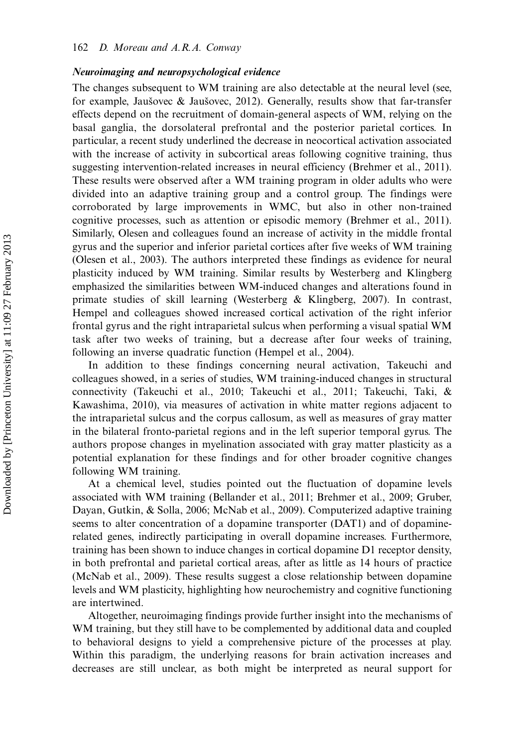### Neuroimaging and neuropsychological evidence

The changes subsequent to WM training are also detectable at the neural level (see, for example, Jausovec & Jausovec, 2012). Generally, results show that far-transfer effects depend on the recruitment of domain-general aspects of WM, relying on the basal ganglia, the dorsolateral prefrontal and the posterior parietal cortices. In particular, a recent study underlined the decrease in neocortical activation associated with the increase of activity in subcortical areas following cognitive training, thus suggesting intervention-related increases in neural efficiency (Brehmer et al., 2011). These results were observed after a WM training program in older adults who were divided into an adaptive training group and a control group. The findings were corroborated by large improvements in WMC, but also in other non-trained cognitive processes, such as attention or episodic memory (Brehmer et al., 2011). Similarly, Olesen and colleagues found an increase of activity in the middle frontal gyrus and the superior and inferior parietal cortices after five weeks of WM training (Olesen et al., 2003). The authors interpreted these findings as evidence for neural plasticity induced by WM training. Similar results by Westerberg and Klingberg emphasized the similarities between WM-induced changes and alterations found in primate studies of skill learning (Westerberg & Klingberg, 2007). In contrast, Hempel and colleagues showed increased cortical activation of the right inferior frontal gyrus and the right intraparietal sulcus when performing a visual spatial WM task after two weeks of training, but a decrease after four weeks of training, following an inverse quadratic function (Hempel et al., 2004).

In addition to these findings concerning neural activation, Takeuchi and colleagues showed, in a series of studies, WM training-induced changes in structural connectivity (Takeuchi et al., 2010; Takeuchi et al., 2011; Takeuchi, Taki, & Kawashima, 2010), via measures of activation in white matter regions adjacent to the intraparietal sulcus and the corpus callosum, as well as measures of gray matter in the bilateral fronto-parietal regions and in the left superior temporal gyrus. The authors propose changes in myelination associated with gray matter plasticity as a potential explanation for these findings and for other broader cognitive changes following WM training.

At a chemical level, studies pointed out the fluctuation of dopamine levels associated with WM training (Bellander et al., 2011; Brehmer et al., 2009; Gruber, Dayan, Gutkin, & Solla, 2006; McNab et al., 2009). Computerized adaptive training seems to alter concentration of a dopamine transporter (DAT1) and of dopaminerelated genes, indirectly participating in overall dopamine increases. Furthermore, training has been shown to induce changes in cortical dopamine D1 receptor density, in both prefrontal and parietal cortical areas, after as little as 14 hours of practice (McNab et al., 2009). These results suggest a close relationship between dopamine levels and WM plasticity, highlighting how neurochemistry and cognitive functioning are intertwined.

Altogether, neuroimaging findings provide further insight into the mechanisms of WM training, but they still have to be complemented by additional data and coupled to behavioral designs to yield a comprehensive picture of the processes at play. Within this paradigm, the underlying reasons for brain activation increases and decreases are still unclear, as both might be interpreted as neural support for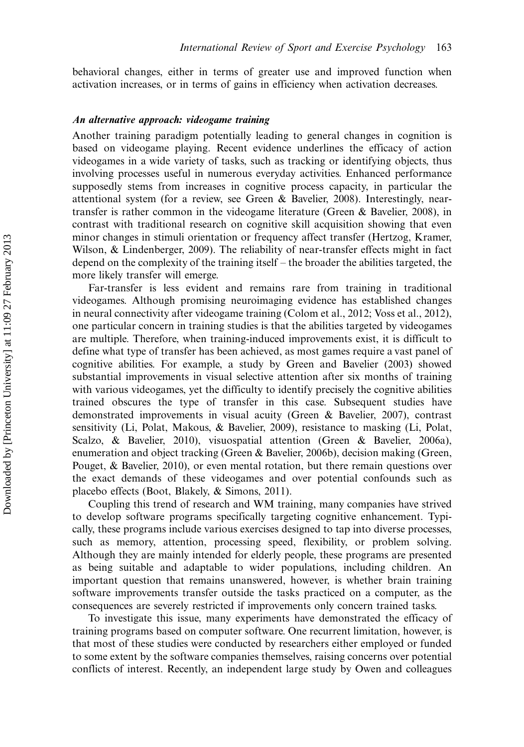behavioral changes, either in terms of greater use and improved function when activation increases, or in terms of gains in efficiency when activation decreases.

#### An alternative approach: videogame training

Another training paradigm potentially leading to general changes in cognition is based on videogame playing. Recent evidence underlines the efficacy of action videogames in a wide variety of tasks, such as tracking or identifying objects, thus involving processes useful in numerous everyday activities. Enhanced performance supposedly stems from increases in cognitive process capacity, in particular the attentional system (for a review, see Green & Bavelier, 2008). Interestingly, neartransfer is rather common in the videogame literature (Green & Bavelier, 2008), in contrast with traditional research on cognitive skill acquisition showing that even minor changes in stimuli orientation or frequency affect transfer (Hertzog, Kramer, Wilson, & Lindenberger, 2009). The reliability of near-transfer effects might in fact depend on the complexity of the training itself  $-$  the broader the abilities targeted, the more likely transfer will emerge.

Far-transfer is less evident and remains rare from training in traditional videogames. Although promising neuroimaging evidence has established changes in neural connectivity after videogame training (Colom et al., 2012; Voss et al., 2012), one particular concern in training studies is that the abilities targeted by videogames are multiple. Therefore, when training-induced improvements exist, it is difficult to define what type of transfer has been achieved, as most games require a vast panel of cognitive abilities. For example, a study by Green and Bavelier (2003) showed substantial improvements in visual selective attention after six months of training with various videogames, yet the difficulty to identify precisely the cognitive abilities trained obscures the type of transfer in this case. Subsequent studies have demonstrated improvements in visual acuity (Green & Bavelier, 2007), contrast sensitivity (Li, Polat, Makous, & Bavelier, 2009), resistance to masking (Li, Polat, Scalzo, & Bavelier, 2010), visuospatial attention (Green & Bavelier, 2006a), enumeration and object tracking (Green & Bavelier, 2006b), decision making (Green, Pouget, & Bavelier, 2010), or even mental rotation, but there remain questions over the exact demands of these videogames and over potential confounds such as placebo effects (Boot, Blakely, & Simons, 2011).

Coupling this trend of research and WM training, many companies have strived to develop software programs specifically targeting cognitive enhancement. Typically, these programs include various exercises designed to tap into diverse processes, such as memory, attention, processing speed, flexibility, or problem solving. Although they are mainly intended for elderly people, these programs are presented as being suitable and adaptable to wider populations, including children. An important question that remains unanswered, however, is whether brain training software improvements transfer outside the tasks practiced on a computer, as the consequences are severely restricted if improvements only concern trained tasks.

To investigate this issue, many experiments have demonstrated the efficacy of training programs based on computer software. One recurrent limitation, however, is that most of these studies were conducted by researchers either employed or funded to some extent by the software companies themselves, raising concerns over potential conflicts of interest. Recently, an independent large study by Owen and colleagues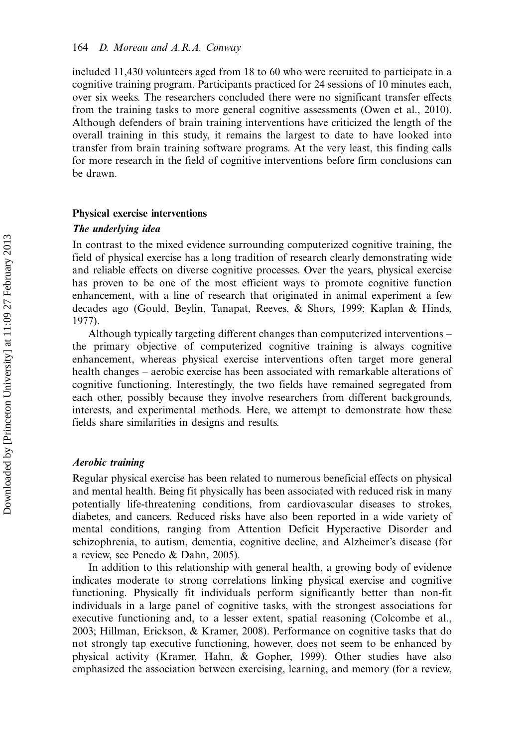included 11,430 volunteers aged from 18 to 60 who were recruited to participate in a cognitive training program. Participants practiced for 24 sessions of 10 minutes each, over six weeks. The researchers concluded there were no significant transfer effects from the training tasks to more general cognitive assessments (Owen et al., 2010). Although defenders of brain training interventions have criticized the length of the overall training in this study, it remains the largest to date to have looked into transfer from brain training software programs. At the very least, this finding calls for more research in the field of cognitive interventions before firm conclusions can be drawn.

### Physical exercise interventions

### The underlying idea

In contrast to the mixed evidence surrounding computerized cognitive training, the field of physical exercise has a long tradition of research clearly demonstrating wide and reliable effects on diverse cognitive processes. Over the years, physical exercise has proven to be one of the most efficient ways to promote cognitive function enhancement, with a line of research that originated in animal experiment a few decades ago (Gould, Beylin, Tanapat, Reeves, & Shors, 1999; Kaplan & Hinds, 1977).

Although typically targeting different changes than computerized interventions the primary objective of computerized cognitive training is always cognitive enhancement, whereas physical exercise interventions often target more general health changes – aerobic exercise has been associated with remarkable alterations of cognitive functioning. Interestingly, the two fields have remained segregated from each other, possibly because they involve researchers from different backgrounds, interests, and experimental methods. Here, we attempt to demonstrate how these fields share similarities in designs and results.

#### Aerobic training

Regular physical exercise has been related to numerous beneficial effects on physical and mental health. Being fit physically has been associated with reduced risk in many potentially life-threatening conditions, from cardiovascular diseases to strokes, diabetes, and cancers. Reduced risks have also been reported in a wide variety of mental conditions, ranging from Attention Deficit Hyperactive Disorder and schizophrenia, to autism, dementia, cognitive decline, and Alzheimer's disease (for a review, see Penedo & Dahn, 2005).

In addition to this relationship with general health, a growing body of evidence indicates moderate to strong correlations linking physical exercise and cognitive functioning. Physically fit individuals perform significantly better than non-fit individuals in a large panel of cognitive tasks, with the strongest associations for executive functioning and, to a lesser extent, spatial reasoning (Colcombe et al., 2003; Hillman, Erickson, & Kramer, 2008). Performance on cognitive tasks that do not strongly tap executive functioning, however, does not seem to be enhanced by physical activity (Kramer, Hahn, & Gopher, 1999). Other studies have also emphasized the association between exercising, learning, and memory (for a review,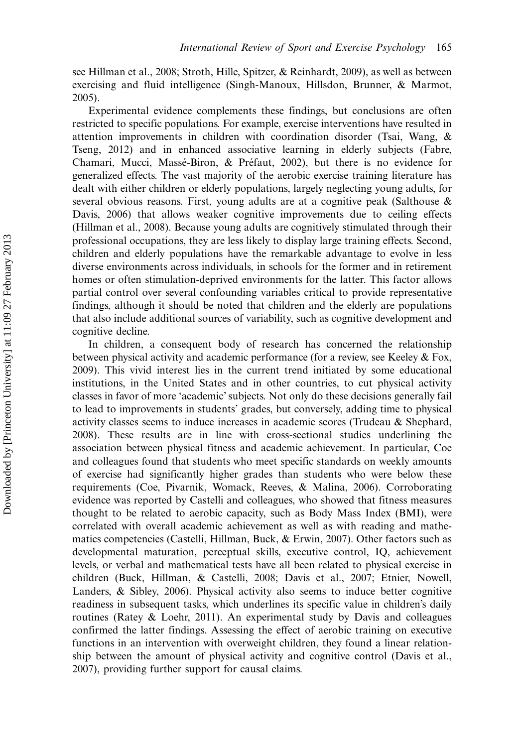see Hillman et al., 2008; Stroth, Hille, Spitzer, & Reinhardt, 2009), as well as between exercising and fluid intelligence (Singh-Manoux, Hillsdon, Brunner, & Marmot, 2005).

Experimental evidence complements these findings, but conclusions are often restricted to specific populations. For example, exercise interventions have resulted in attention improvements in children with coordination disorder (Tsai, Wang, & Tseng, 2012) and in enhanced associative learning in elderly subjects (Fabre, Chamari, Mucci, Massé-Biron, & Préfaut, 2002), but there is no evidence for generalized effects. The vast majority of the aerobic exercise training literature has dealt with either children or elderly populations, largely neglecting young adults, for several obvious reasons. First, young adults are at a cognitive peak (Salthouse & Davis, 2006) that allows weaker cognitive improvements due to ceiling effects (Hillman et al., 2008). Because young adults are cognitively stimulated through their professional occupations, they are less likely to display large training effects. Second, children and elderly populations have the remarkable advantage to evolve in less diverse environments across individuals, in schools for the former and in retirement homes or often stimulation-deprived environments for the latter. This factor allows partial control over several confounding variables critical to provide representative findings, although it should be noted that children and the elderly are populations that also include additional sources of variability, such as cognitive development and cognitive decline.

In children, a consequent body of research has concerned the relationship between physical activity and academic performance (for a review, see Keeley & Fox, 2009). This vivid interest lies in the current trend initiated by some educational institutions, in the United States and in other countries, to cut physical activity classes in favor of more 'academic' subjects. Not only do these decisions generally fail to lead to improvements in students' grades, but conversely, adding time to physical activity classes seems to induce increases in academic scores (Trudeau  $\&$  Shephard, 2008). These results are in line with cross-sectional studies underlining the association between physical fitness and academic achievement. In particular, Coe and colleagues found that students who meet specific standards on weekly amounts of exercise had significantly higher grades than students who were below these requirements (Coe, Pivarnik, Womack, Reeves, & Malina, 2006). Corroborating evidence was reported by Castelli and colleagues, who showed that fitness measures thought to be related to aerobic capacity, such as Body Mass Index (BMI), were correlated with overall academic achievement as well as with reading and mathematics competencies (Castelli, Hillman, Buck, & Erwin, 2007). Other factors such as developmental maturation, perceptual skills, executive control, IQ, achievement levels, or verbal and mathematical tests have all been related to physical exercise in children (Buck, Hillman, & Castelli, 2008; Davis et al., 2007; Etnier, Nowell, Landers, & Sibley, 2006). Physical activity also seems to induce better cognitive readiness in subsequent tasks, which underlines its specific value in children's daily routines (Ratey & Loehr, 2011). An experimental study by Davis and colleagues confirmed the latter findings. Assessing the effect of aerobic training on executive functions in an intervention with overweight children, they found a linear relationship between the amount of physical activity and cognitive control (Davis et al., 2007), providing further support for causal claims.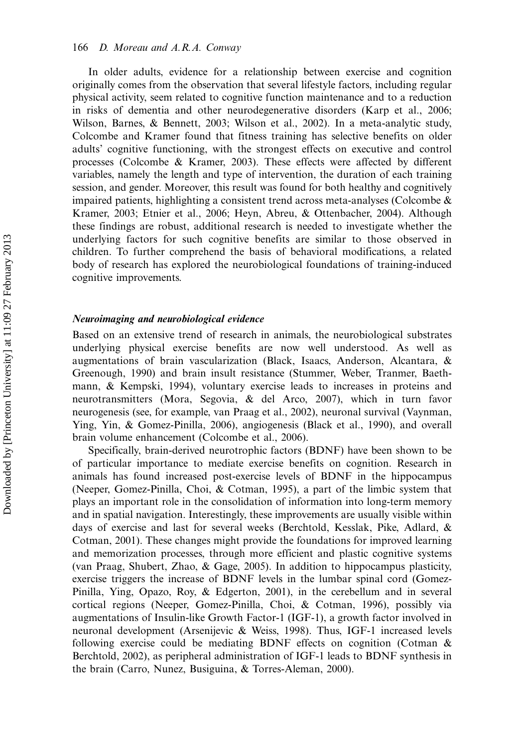In older adults, evidence for a relationship between exercise and cognition originally comes from the observation that several lifestyle factors, including regular physical activity, seem related to cognitive function maintenance and to a reduction in risks of dementia and other neurodegenerative disorders (Karp et al., 2006; Wilson, Barnes, & Bennett, 2003; Wilson et al., 2002). In a meta-analytic study, Colcombe and Kramer found that fitness training has selective benefits on older adults' cognitive functioning, with the strongest effects on executive and control processes (Colcombe & Kramer, 2003). These effects were affected by different variables, namely the length and type of intervention, the duration of each training session, and gender. Moreover, this result was found for both healthy and cognitively impaired patients, highlighting a consistent trend across meta-analyses (Colcombe & Kramer, 2003; Etnier et al., 2006; Heyn, Abreu, & Ottenbacher, 2004). Although these findings are robust, additional research is needed to investigate whether the underlying factors for such cognitive benefits are similar to those observed in children. To further comprehend the basis of behavioral modifications, a related body of research has explored the neurobiological foundations of training-induced cognitive improvements.

#### Neuroimaging and neurobiological evidence

Based on an extensive trend of research in animals, the neurobiological substrates underlying physical exercise benefits are now well understood. As well as augmentations of brain vascularization (Black, Isaacs, Anderson, Alcantara, & Greenough, 1990) and brain insult resistance (Stummer, Weber, Tranmer, Baethmann, & Kempski, 1994), voluntary exercise leads to increases in proteins and neurotransmitters (Mora, Segovia, & del Arco, 2007), which in turn favor neurogenesis (see, for example, van Praag et al., 2002), neuronal survival (Vaynman, Ying, Yin, & Gomez-Pinilla, 2006), angiogenesis (Black et al., 1990), and overall brain volume enhancement (Colcombe et al., 2006).

Specifically, brain-derived neurotrophic factors (BDNF) have been shown to be of particular importance to mediate exercise benefits on cognition. Research in animals has found increased post-exercise levels of BDNF in the hippocampus (Neeper, Gomez-Pinilla, Choi, & Cotman, 1995), a part of the limbic system that plays an important role in the consolidation of information into long-term memory and in spatial navigation. Interestingly, these improvements are usually visible within days of exercise and last for several weeks (Berchtold, Kesslak, Pike, Adlard, & Cotman, 2001). These changes might provide the foundations for improved learning and memorization processes, through more efficient and plastic cognitive systems (van Praag, Shubert, Zhao, & Gage, 2005). In addition to hippocampus plasticity, exercise triggers the increase of BDNF levels in the lumbar spinal cord (Gomez-Pinilla, Ying, Opazo, Roy, & Edgerton, 2001), in the cerebellum and in several cortical regions (Neeper, Gomez-Pinilla, Choi, & Cotman, 1996), possibly via augmentations of Insulin-like Growth Factor-1 (IGF-1), a growth factor involved in neuronal development (Arsenijevic & Weiss, 1998). Thus, IGF-1 increased levels following exercise could be mediating BDNF effects on cognition (Cotman & Berchtold, 2002), as peripheral administration of IGF-1 leads to BDNF synthesis in the brain (Carro, Nunez, Busiguina, & Torres-Aleman, 2000).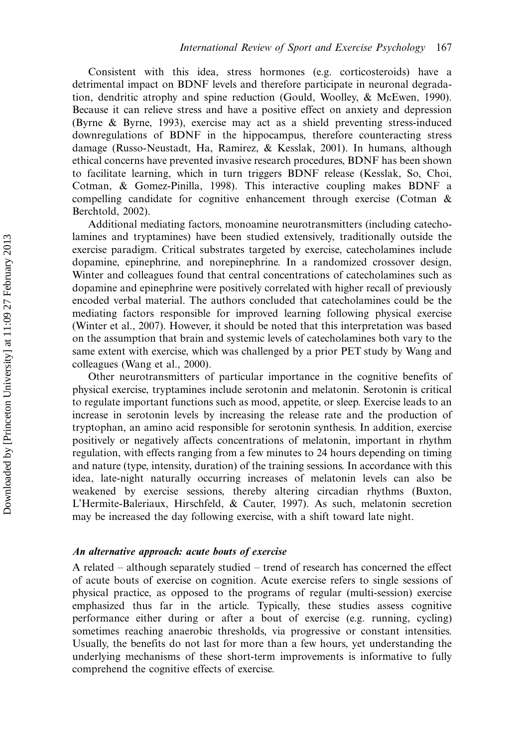Consistent with this idea, stress hormones (e.g. corticosteroids) have a detrimental impact on BDNF levels and therefore participate in neuronal degradation, dendritic atrophy and spine reduction (Gould, Woolley, & McEwen, 1990). Because it can relieve stress and have a positive effect on anxiety and depression (Byrne & Byrne, 1993), exercise may act as a shield preventing stress-induced downregulations of BDNF in the hippocampus, therefore counteracting stress damage (Russo-Neustadt, Ha, Ramirez, & Kesslak, 2001). In humans, although ethical concerns have prevented invasive research procedures, BDNF has been shown to facilitate learning, which in turn triggers BDNF release (Kesslak, So, Choi, Cotman, & Gomez-Pinilla, 1998). This interactive coupling makes BDNF a compelling candidate for cognitive enhancement through exercise (Cotman & Berchtold, 2002).

Additional mediating factors, monoamine neurotransmitters (including catecholamines and tryptamines) have been studied extensively, traditionally outside the exercise paradigm. Critical substrates targeted by exercise, catecholamines include dopamine, epinephrine, and norepinephrine. In a randomized crossover design, Winter and colleagues found that central concentrations of catecholamines such as dopamine and epinephrine were positively correlated with higher recall of previously encoded verbal material. The authors concluded that catecholamines could be the mediating factors responsible for improved learning following physical exercise (Winter et al., 2007). However, it should be noted that this interpretation was based on the assumption that brain and systemic levels of catecholamines both vary to the same extent with exercise, which was challenged by a prior PET study by Wang and colleagues (Wang et al., 2000).

Other neurotransmitters of particular importance in the cognitive benefits of physical exercise, tryptamines include serotonin and melatonin. Serotonin is critical to regulate important functions such as mood, appetite, or sleep. Exercise leads to an increase in serotonin levels by increasing the release rate and the production of tryptophan, an amino acid responsible for serotonin synthesis. In addition, exercise positively or negatively affects concentrations of melatonin, important in rhythm regulation, with effects ranging from a few minutes to 24 hours depending on timing and nature (type, intensity, duration) of the training sessions. In accordance with this idea, late-night naturally occurring increases of melatonin levels can also be weakened by exercise sessions, thereby altering circadian rhythms (Buxton, L'Hermite-Baleriaux, Hirschfeld, & Cauter, 1997). As such, melatonin secretion may be increased the day following exercise, with a shift toward late night.

### An alternative approach: acute bouts of exercise

A related  $-$  although separately studied  $-$  trend of research has concerned the effect of acute bouts of exercise on cognition. Acute exercise refers to single sessions of physical practice, as opposed to the programs of regular (multi-session) exercise emphasized thus far in the article. Typically, these studies assess cognitive performance either during or after a bout of exercise (e.g. running, cycling) sometimes reaching anaerobic thresholds, via progressive or constant intensities. Usually, the benefits do not last for more than a few hours, yet understanding the underlying mechanisms of these short-term improvements is informative to fully comprehend the cognitive effects of exercise.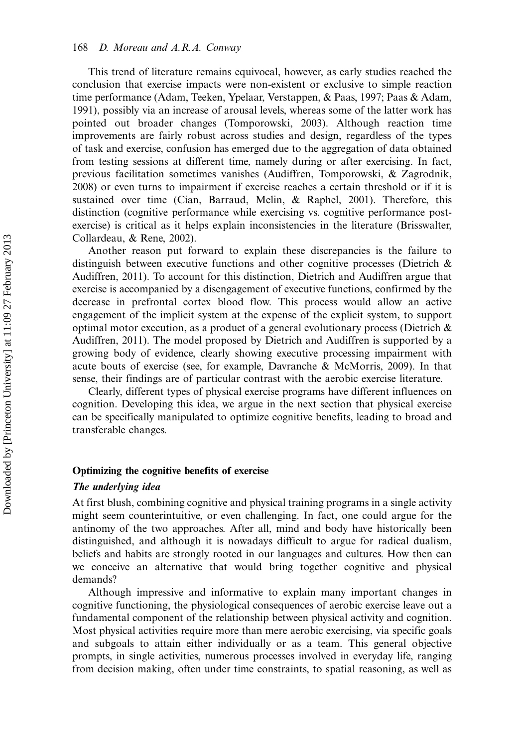This trend of literature remains equivocal, however, as early studies reached the conclusion that exercise impacts were non-existent or exclusive to simple reaction time performance (Adam, Teeken, Ypelaar, Verstappen, & Paas, 1997; Paas & Adam, 1991), possibly via an increase of arousal levels, whereas some of the latter work has pointed out broader changes (Tomporowski, 2003). Although reaction time improvements are fairly robust across studies and design, regardless of the types of task and exercise, confusion has emerged due to the aggregation of data obtained from testing sessions at different time, namely during or after exercising. In fact, previous facilitation sometimes vanishes (Audiffren, Tomporowski, & Zagrodnik, 2008) or even turns to impairment if exercise reaches a certain threshold or if it is sustained over time (Cian, Barraud, Melin, & Raphel, 2001). Therefore, this distinction (cognitive performance while exercising vs. cognitive performance postexercise) is critical as it helps explain inconsistencies in the literature (Brisswalter, Collardeau, & Rene, 2002).

Another reason put forward to explain these discrepancies is the failure to distinguish between executive functions and other cognitive processes (Dietrich & Audiffren, 2011). To account for this distinction, Dietrich and Audiffren argue that exercise is accompanied by a disengagement of executive functions, confirmed by the decrease in prefrontal cortex blood flow. This process would allow an active engagement of the implicit system at the expense of the explicit system, to support optimal motor execution, as a product of a general evolutionary process (Dietrich  $\&$ Audiffren, 2011). The model proposed by Dietrich and Audiffren is supported by a growing body of evidence, clearly showing executive processing impairment with acute bouts of exercise (see, for example, Davranche & McMorris, 2009). In that sense, their findings are of particular contrast with the aerobic exercise literature.

Clearly, different types of physical exercise programs have different influences on cognition. Developing this idea, we argue in the next section that physical exercise can be specifically manipulated to optimize cognitive benefits, leading to broad and transferable changes.

#### Optimizing the cognitive benefits of exercise

### The underlying idea

At first blush, combining cognitive and physical training programs in a single activity might seem counterintuitive, or even challenging. In fact, one could argue for the antinomy of the two approaches. After all, mind and body have historically been distinguished, and although it is nowadays difficult to argue for radical dualism, beliefs and habits are strongly rooted in our languages and cultures. How then can we conceive an alternative that would bring together cognitive and physical demands?

Although impressive and informative to explain many important changes in cognitive functioning, the physiological consequences of aerobic exercise leave out a fundamental component of the relationship between physical activity and cognition. Most physical activities require more than mere aerobic exercising, via specific goals and subgoals to attain either individually or as a team. This general objective prompts, in single activities, numerous processes involved in everyday life, ranging from decision making, often under time constraints, to spatial reasoning, as well as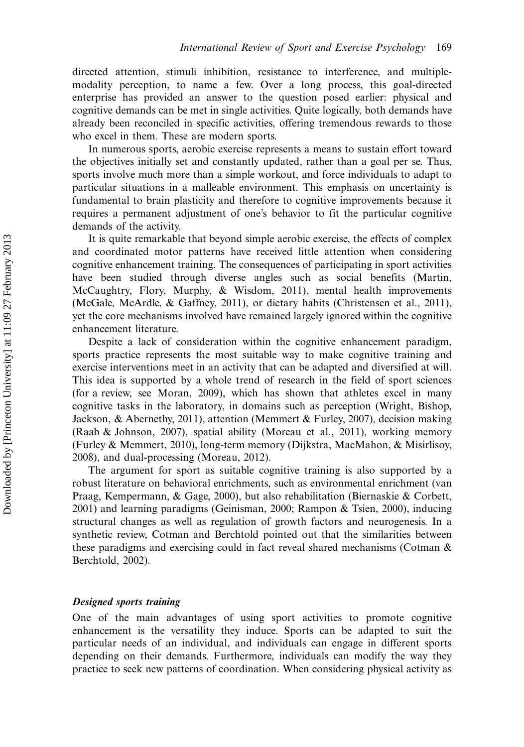directed attention, stimuli inhibition, resistance to interference, and multiplemodality perception, to name a few. Over a long process, this goal-directed enterprise has provided an answer to the question posed earlier: physical and cognitive demands can be met in single activities. Quite logically, both demands have already been reconciled in specific activities, offering tremendous rewards to those who excel in them. These are modern sports.

In numerous sports, aerobic exercise represents a means to sustain effort toward the objectives initially set and constantly updated, rather than a goal per se. Thus, sports involve much more than a simple workout, and force individuals to adapt to particular situations in a malleable environment. This emphasis on uncertainty is fundamental to brain plasticity and therefore to cognitive improvements because it requires a permanent adjustment of one's behavior to fit the particular cognitive demands of the activity.

It is quite remarkable that beyond simple aerobic exercise, the effects of complex and coordinated motor patterns have received little attention when considering cognitive enhancement training. The consequences of participating in sport activities have been studied through diverse angles such as social benefits (Martin, McCaughtry, Flory, Murphy, & Wisdom, 2011), mental health improvements (McGale, McArdle, & Gaffney, 2011), or dietary habits (Christensen et al., 2011), yet the core mechanisms involved have remained largely ignored within the cognitive enhancement literature.

Despite a lack of consideration within the cognitive enhancement paradigm, sports practice represents the most suitable way to make cognitive training and exercise interventions meet in an activity that can be adapted and diversified at will. This idea is supported by a whole trend of research in the field of sport sciences (for a review, see Moran, 2009), which has shown that athletes excel in many cognitive tasks in the laboratory, in domains such as perception (Wright, Bishop, Jackson, & Abernethy, 2011), attention (Memmert & Furley, 2007), decision making (Raab & Johnson, 2007), spatial ability (Moreau et al., 2011), working memory (Furley & Memmert, 2010), long-term memory (Dijkstra, MacMahon, & Misirlisoy, 2008), and dual-processing (Moreau, 2012).

The argument for sport as suitable cognitive training is also supported by a robust literature on behavioral enrichments, such as environmental enrichment (van Praag, Kempermann, & Gage, 2000), but also rehabilitation (Biernaskie & Corbett, 2001) and learning paradigms (Geinisman, 2000; Rampon & Tsien, 2000), inducing structural changes as well as regulation of growth factors and neurogenesis. In a synthetic review, Cotman and Berchtold pointed out that the similarities between these paradigms and exercising could in fact reveal shared mechanisms (Cotman & Berchtold, 2002).

#### Designed sports training

One of the main advantages of using sport activities to promote cognitive enhancement is the versatility they induce. Sports can be adapted to suit the particular needs of an individual, and individuals can engage in different sports depending on their demands. Furthermore, individuals can modify the way they practice to seek new patterns of coordination. When considering physical activity as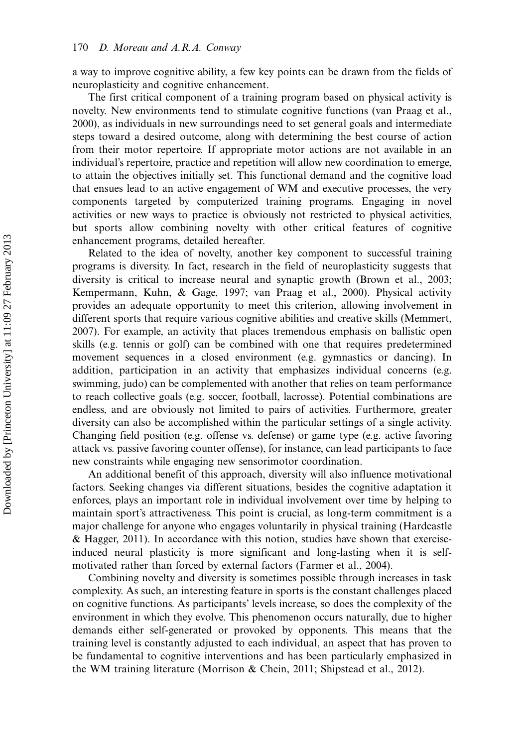a way to improve cognitive ability, a few key points can be drawn from the fields of neuroplasticity and cognitive enhancement.

The first critical component of a training program based on physical activity is novelty. New environments tend to stimulate cognitive functions (van Praag et al., 2000), as individuals in new surroundings need to set general goals and intermediate steps toward a desired outcome, along with determining the best course of action from their motor repertoire. If appropriate motor actions are not available in an individual's repertoire, practice and repetition will allow new coordination to emerge, to attain the objectives initially set. This functional demand and the cognitive load that ensues lead to an active engagement of WM and executive processes, the very components targeted by computerized training programs. Engaging in novel activities or new ways to practice is obviously not restricted to physical activities, but sports allow combining novelty with other critical features of cognitive enhancement programs, detailed hereafter.

Related to the idea of novelty, another key component to successful training programs is diversity. In fact, research in the field of neuroplasticity suggests that diversity is critical to increase neural and synaptic growth (Brown et al., 2003; Kempermann, Kuhn, & Gage, 1997; van Praag et al., 2000). Physical activity provides an adequate opportunity to meet this criterion, allowing involvement in different sports that require various cognitive abilities and creative skills (Memmert, 2007). For example, an activity that places tremendous emphasis on ballistic open skills (e.g. tennis or golf) can be combined with one that requires predetermined movement sequences in a closed environment (e.g. gymnastics or dancing). In addition, participation in an activity that emphasizes individual concerns (e.g. swimming, judo) can be complemented with another that relies on team performance to reach collective goals (e.g. soccer, football, lacrosse). Potential combinations are endless, and are obviously not limited to pairs of activities. Furthermore, greater diversity can also be accomplished within the particular settings of a single activity. Changing field position (e.g. offense vs. defense) or game type (e.g. active favoring attack vs. passive favoring counter offense), for instance, can lead participants to face new constraints while engaging new sensorimotor coordination.

An additional benefit of this approach, diversity will also influence motivational factors. Seeking changes via different situations, besides the cognitive adaptation it enforces, plays an important role in individual involvement over time by helping to maintain sport's attractiveness. This point is crucial, as long-term commitment is a major challenge for anyone who engages voluntarily in physical training (Hardcastle & Hagger, 2011). In accordance with this notion, studies have shown that exerciseinduced neural plasticity is more significant and long-lasting when it is selfmotivated rather than forced by external factors (Farmer et al., 2004).

Combining novelty and diversity is sometimes possible through increases in task complexity. As such, an interesting feature in sports is the constant challenges placed on cognitive functions. As participants' levels increase, so does the complexity of the environment in which they evolve. This phenomenon occurs naturally, due to higher demands either self-generated or provoked by opponents. This means that the training level is constantly adjusted to each individual, an aspect that has proven to be fundamental to cognitive interventions and has been particularly emphasized in the WM training literature (Morrison & Chein, 2011; Shipstead et al., 2012).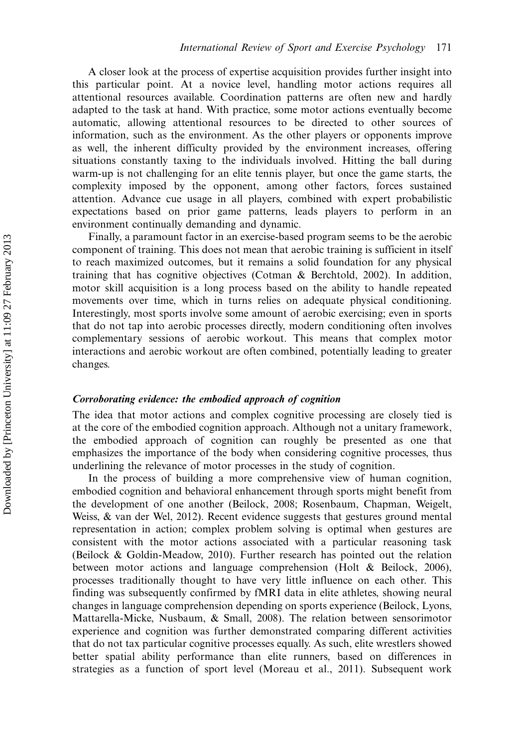A closer look at the process of expertise acquisition provides further insight into this particular point. At a novice level, handling motor actions requires all attentional resources available. Coordination patterns are often new and hardly adapted to the task at hand. With practice, some motor actions eventually become automatic, allowing attentional resources to be directed to other sources of information, such as the environment. As the other players or opponents improve as well, the inherent difficulty provided by the environment increases, offering situations constantly taxing to the individuals involved. Hitting the ball during warm-up is not challenging for an elite tennis player, but once the game starts, the complexity imposed by the opponent, among other factors, forces sustained attention. Advance cue usage in all players, combined with expert probabilistic expectations based on prior game patterns, leads players to perform in an environment continually demanding and dynamic.

Finally, a paramount factor in an exercise-based program seems to be the aerobic component of training. This does not mean that aerobic training is sufficient in itself to reach maximized outcomes, but it remains a solid foundation for any physical training that has cognitive objectives (Cotman & Berchtold, 2002). In addition, motor skill acquisition is a long process based on the ability to handle repeated movements over time, which in turns relies on adequate physical conditioning. Interestingly, most sports involve some amount of aerobic exercising; even in sports that do not tap into aerobic processes directly, modern conditioning often involves complementary sessions of aerobic workout. This means that complex motor interactions and aerobic workout are often combined, potentially leading to greater changes.

### Corroborating evidence: the embodied approach of cognition

The idea that motor actions and complex cognitive processing are closely tied is at the core of the embodied cognition approach. Although not a unitary framework, the embodied approach of cognition can roughly be presented as one that emphasizes the importance of the body when considering cognitive processes, thus underlining the relevance of motor processes in the study of cognition.

In the process of building a more comprehensive view of human cognition, embodied cognition and behavioral enhancement through sports might benefit from the development of one another (Beilock, 2008; Rosenbaum, Chapman, Weigelt, Weiss, & van der Wel, 2012). Recent evidence suggests that gestures ground mental representation in action; complex problem solving is optimal when gestures are consistent with the motor actions associated with a particular reasoning task (Beilock & Goldin-Meadow, 2010). Further research has pointed out the relation between motor actions and language comprehension (Holt & Beilock, 2006), processes traditionally thought to have very little influence on each other. This finding was subsequently confirmed by fMRI data in elite athletes, showing neural changes in language comprehension depending on sports experience (Beilock, Lyons, Mattarella-Micke, Nusbaum, & Small, 2008). The relation between sensorimotor experience and cognition was further demonstrated comparing different activities that do not tax particular cognitive processes equally. As such, elite wrestlers showed better spatial ability performance than elite runners, based on differences in strategies as a function of sport level (Moreau et al., 2011). Subsequent work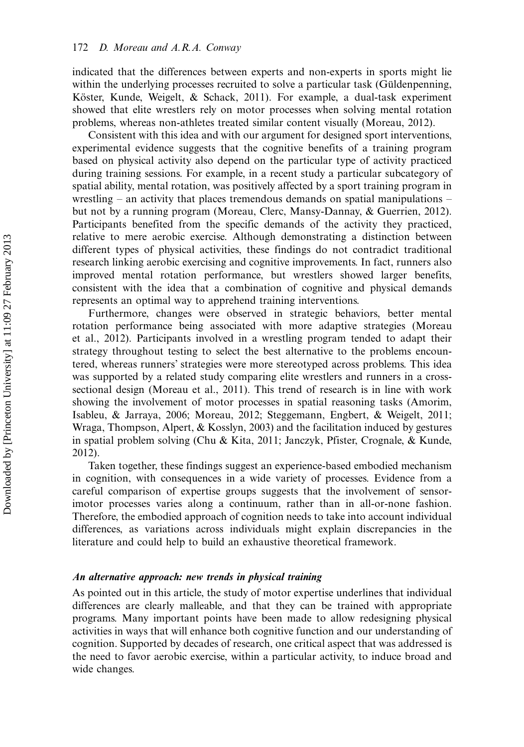indicated that the differences between experts and non-experts in sports might lie within the underlying processes recruited to solve a particular task (Güldenpenning, Köster, Kunde, Weigelt, & Schack, 2011). For example, a dual-task experiment showed that elite wrestlers rely on motor processes when solving mental rotation problems, whereas non-athletes treated similar content visually (Moreau, 2012).

Consistent with this idea and with our argument for designed sport interventions, experimental evidence suggests that the cognitive benefits of a training program based on physical activity also depend on the particular type of activity practiced during training sessions. For example, in a recent study a particular subcategory of spatial ability, mental rotation, was positively affected by a sport training program in wrestling  $-$  an activity that places tremendous demands on spatial manipulations but not by a running program (Moreau, Clerc, Mansy-Dannay, & Guerrien, 2012). Participants benefited from the specific demands of the activity they practiced, relative to mere aerobic exercise. Although demonstrating a distinction between different types of physical activities, these findings do not contradict traditional research linking aerobic exercising and cognitive improvements. In fact, runners also improved mental rotation performance, but wrestlers showed larger benefits, consistent with the idea that a combination of cognitive and physical demands represents an optimal way to apprehend training interventions.

Furthermore, changes were observed in strategic behaviors, better mental rotation performance being associated with more adaptive strategies (Moreau et al., 2012). Participants involved in a wrestling program tended to adapt their strategy throughout testing to select the best alternative to the problems encountered, whereas runners' strategies were more stereotyped across problems. This idea was supported by a related study comparing elite wrestlers and runners in a crosssectional design (Moreau et al., 2011). This trend of research is in line with work showing the involvement of motor processes in spatial reasoning tasks (Amorim, Isableu, & Jarraya, 2006; Moreau, 2012; Steggemann, Engbert, & Weigelt, 2011; Wraga, Thompson, Alpert, & Kosslyn, 2003) and the facilitation induced by gestures in spatial problem solving (Chu & Kita, 2011; Janczyk, Pfister, Crognale, & Kunde, 2012).

Taken together, these findings suggest an experience-based embodied mechanism in cognition, with consequences in a wide variety of processes. Evidence from a careful comparison of expertise groups suggests that the involvement of sensorimotor processes varies along a continuum, rather than in all-or-none fashion. Therefore, the embodied approach of cognition needs to take into account individual differences, as variations across individuals might explain discrepancies in the literature and could help to build an exhaustive theoretical framework.

#### An alternative approach: new trends in physical training

As pointed out in this article, the study of motor expertise underlines that individual differences are clearly malleable, and that they can be trained with appropriate programs. Many important points have been made to allow redesigning physical activities in ways that will enhance both cognitive function and our understanding of cognition. Supported by decades of research, one critical aspect that was addressed is the need to favor aerobic exercise, within a particular activity, to induce broad and wide changes.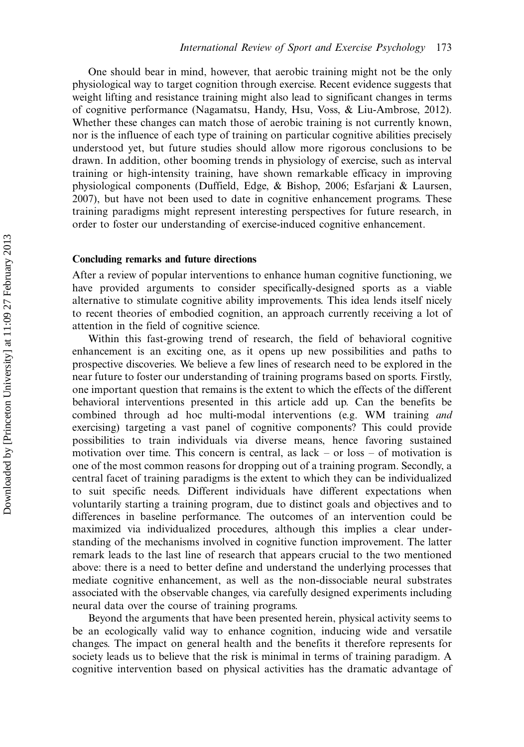One should bear in mind, however, that aerobic training might not be the only physiological way to target cognition through exercise. Recent evidence suggests that weight lifting and resistance training might also lead to significant changes in terms of cognitive performance (Nagamatsu, Handy, Hsu, Voss, & Liu-Ambrose, 2012). Whether these changes can match those of aerobic training is not currently known, nor is the influence of each type of training on particular cognitive abilities precisely understood yet, but future studies should allow more rigorous conclusions to be drawn. In addition, other booming trends in physiology of exercise, such as interval training or high-intensity training, have shown remarkable efficacy in improving physiological components (Duffield, Edge, & Bishop, 2006; Esfarjani & Laursen, 2007), but have not been used to date in cognitive enhancement programs. These training paradigms might represent interesting perspectives for future research, in order to foster our understanding of exercise-induced cognitive enhancement.

#### Concluding remarks and future directions

After a review of popular interventions to enhance human cognitive functioning, we have provided arguments to consider specifically-designed sports as a viable alternative to stimulate cognitive ability improvements. This idea lends itself nicely to recent theories of embodied cognition, an approach currently receiving a lot of attention in the field of cognitive science.

Within this fast-growing trend of research, the field of behavioral cognitive enhancement is an exciting one, as it opens up new possibilities and paths to prospective discoveries. We believe a few lines of research need to be explored in the near future to foster our understanding of training programs based on sports. Firstly, one important question that remains is the extent to which the effects of the different behavioral interventions presented in this article add up. Can the benefits be combined through ad hoc multi-modal interventions (e.g. WM training and exercising) targeting a vast panel of cognitive components? This could provide possibilities to train individuals via diverse means, hence favoring sustained motivation over time. This concern is central, as lack  $-$  or loss  $-$  of motivation is one of the most common reasons for dropping out of a training program. Secondly, a central facet of training paradigms is the extent to which they can be individualized to suit specific needs. Different individuals have different expectations when voluntarily starting a training program, due to distinct goals and objectives and to differences in baseline performance. The outcomes of an intervention could be maximized via individualized procedures, although this implies a clear understanding of the mechanisms involved in cognitive function improvement. The latter remark leads to the last line of research that appears crucial to the two mentioned above: there is a need to better define and understand the underlying processes that mediate cognitive enhancement, as well as the non-dissociable neural substrates associated with the observable changes, via carefully designed experiments including neural data over the course of training programs.

Beyond the arguments that have been presented herein, physical activity seems to be an ecologically valid way to enhance cognition, inducing wide and versatile changes. The impact on general health and the benefits it therefore represents for society leads us to believe that the risk is minimal in terms of training paradigm. A cognitive intervention based on physical activities has the dramatic advantage of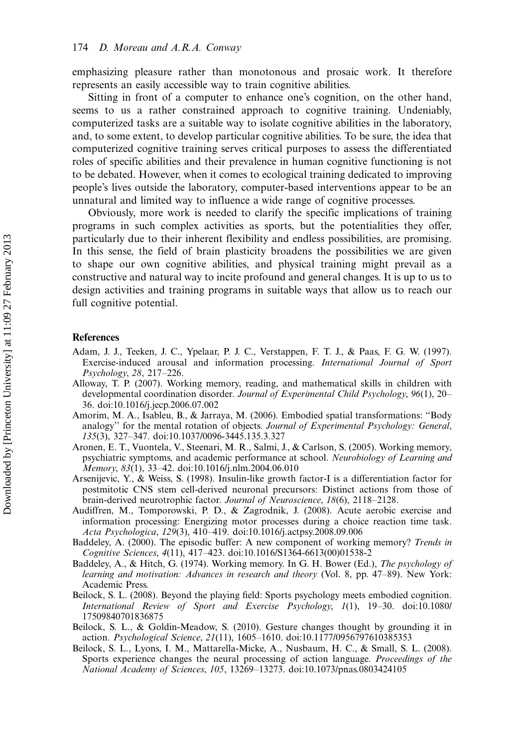emphasizing pleasure rather than monotonous and prosaic work. It therefore represents an easily accessible way to train cognitive abilities.

Sitting in front of a computer to enhance one's cognition, on the other hand, seems to us a rather constrained approach to cognitive training. Undeniably, computerized tasks are a suitable way to isolate cognitive abilities in the laboratory, and, to some extent, to develop particular cognitive abilities. To be sure, the idea that computerized cognitive training serves critical purposes to assess the differentiated roles of specific abilities and their prevalence in human cognitive functioning is not to be debated. However, when it comes to ecological training dedicated to improving people's lives outside the laboratory, computer-based interventions appear to be an unnatural and limited way to influence a wide range of cognitive processes.

Obviously, more work is needed to clarify the specific implications of training programs in such complex activities as sports, but the potentialities they offer, particularly due to their inherent flexibility and endless possibilities, are promising. In this sense, the field of brain plasticity broadens the possibilities we are given to shape our own cognitive abilities, and physical training might prevail as a constructive and natural way to incite profound and general changes. It is up to us to design activities and training programs in suitable ways that allow us to reach our full cognitive potential.

#### References

- Adam, J. J., Teeken, J. C., Ypelaar, P. J. C., Verstappen, F. T. J., & Paas, F. G. W. (1997). Exercise-induced arousal and information processing. International Journal of Sport  $Psychology, 28, 217–226.$
- Alloway, T. P. (2007). Working memory, reading, and mathematical skills in children with developmental coordination disorder. Journal of Experimental Child Psychology, 96(1), 20-36. doi:10.1016/j.jecp.2006.07.002
- Amorim, M. A., Isableu, B., & Jarraya, M. (2006). Embodied spatial transformations: ''Body analogy" for the mental rotation of objects. Journal of Experimental Psychology: General, 135(3), 327-347. doi:10.1037/0096-3445.135.3.327
- Aronen, E. T., Vuontela, V., Steenari, M. R., Salmi, J., & Carlson, S. (2005). Working memory, psychiatric symptoms, and academic performance at school. Neurobiology of Learning and Memory, 83(1), 33-42. doi:10.1016/j.nlm.2004.06.010
- Arsenijevic, Y., & Weiss, S. (1998). Insulin-like growth factor-I is a differentiation factor for postmitotic CNS stem cell-derived neuronal precursors: Distinct actions from those of brain-derived neurotrophic factor. Journal of Neuroscience, 18(6), 2118-2128.
- Audiffren, M., Tomporowski, P. D., & Zagrodnik, J. (2008). Acute aerobic exercise and information processing: Energizing motor processes during a choice reaction time task. Acta Psychologica, 129(3), 410-419. doi:10.1016/j.actpsy.2008.09.006
- Baddeley, A. (2000). The episodic buffer: A new component of working memory? Trends in Cognitive Sciences, 4(11), 417-423. doi:10.1016/S1364-6613(00)01538-2
- Baddeley, A., & Hitch, G. (1974). Working memory. In G. H. Bower (Ed.), The psychology of learning and motivation: Advances in research and theory (Vol. 8, pp.  $47-89$ ). New York: Academic Press.
- Beilock, S. L. (2008). Beyond the playing field: Sports psychology meets embodied cognition. International Review of Sport and Exercise Psychology, 1(1), 19-30. doi:10.1080/ 17509840701836875
- Beilock, S. L., & Goldin-Meadow, S. (2010). Gesture changes thought by grounding it in action. *Psychological Science*, 21(11), 1605-1610. doi:10.1177/0956797610385353
- Beilock, S. L., Lyons, I. M., Mattarella-Micke, A., Nusbaum, H. C., & Small, S. L. (2008). Sports experience changes the neural processing of action language. Proceedings of the National Academy of Sciences, 105, 13269–13273. doi:10.1073/pnas.0803424105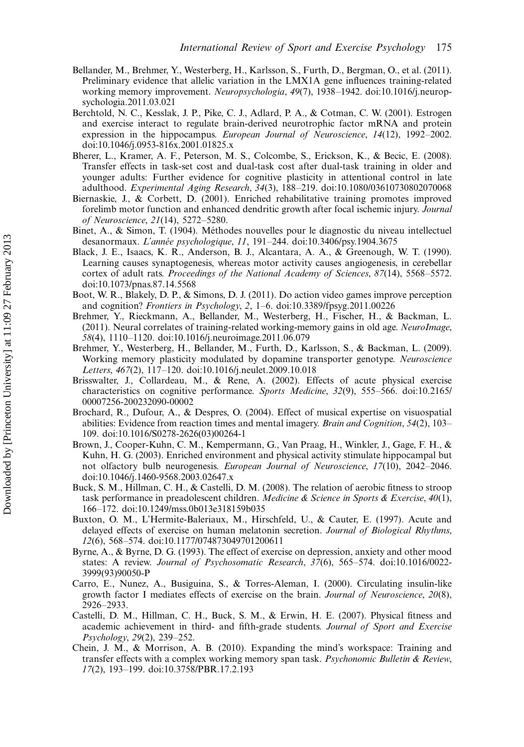- Bellander, M., Brehmer, Y., Westerberg, H., Karlsson, S., Furth, D., Bergman, O., et al. (2011). Preliminary evidence that allelic variation in the LMX1A gene influences training-related working memory improvement. Neuropsychologia, 49(7), 1938-1942. doi:10.1016/j.neuropsychologia.2011.03.021
- Berchtold, N. C., Kesslak, J. P., Pike, C. J., Adlard, P. A., & Cotman, C. W. (2001). Estrogen and exercise interact to regulate brain-derived neurotrophic factor mRNA and protein expression in the hippocampus. European Journal of Neuroscience, 14(12), 1992–2002. doi:10.1046/j.0953-816x.2001.01825.x
- Bherer, L., Kramer, A. F., Peterson, M. S., Colcombe, S., Erickson, K., & Becic, E. (2008). Transfer effects in task-set cost and dual-task cost after dual-task training in older and younger adults: Further evidence for cognitive plasticity in attentional control in late adulthood. Experimental Aging Research, 34(3), 188-219. doi:10.1080/03610730802070068
- Biernaskie, J., & Corbett, D. (2001). Enriched rehabilitative training promotes improved forelimb motor function and enhanced dendritic growth after focal ischemic injury. Journal of Neuroscience, 21(14), 5272-5280.
- Binet, A., & Simon, T. (1904). Méthodes nouvelles pour le diagnostic du niveau intellectuel desanormaux. L'année psychologique, 11, 191-244. doi:10.3406/psy.1904.3675
- Black, J. E., Isaacs, K. R., Anderson, B. J., Alcantara, A. A., & Greenough, W. T. (1990). Learning causes synaptogenesis, whereas motor activity causes angiogenesis, in cerebellar cortex of adult rats. Proceedings of the National Academy of Sciences, 87(14), 5568-5572. doi:10.1073/pnas.87.14.5568
- Boot, W. R., Blakely, D. P., & Simons, D. J. (2011). Do action video games improve perception and cognition? Frontiers in Psychology, 2, 1-6. doi:10.3389/fpsyg.2011.00226
- Brehmer, Y., Rieckmann, A., Bellander, M., Westerberg, H., Fischer, H., & Backman, L. (2011). Neural correlates of training-related working-memory gains in old age. NeuroImage, 58(4), 1110-1120. doi:10.1016/j.neuroimage.2011.06.079
- Brehmer, Y., Westerberg, H., Bellander, M., Furth, D., Karlsson, S., & Backman, L. (2009). Working memory plasticity modulated by dopamine transporter genotype. Neuroscience Letters, 467(2), 117-120. doi:10.1016/j.neulet.2009.10.018
- Brisswalter, J., Collardeau, M., & Rene, A. (2002). Effects of acute physical exercise characteristics on cognitive performance. Sports Medicine, 32(9), 555-566. doi:10.2165/ 00007256-200232090-00002
- Brochard, R., Dufour, A., & Despres, O. (2004). Effect of musical expertise on visuospatial abilities: Evidence from reaction times and mental imagery. Brain and Cognition, 54(2), 103 109. doi:10.1016/S0278-2626(03)00264-1
- Brown, J., Cooper-Kuhn, C. M., Kempermann, G., Van Praag, H., Winkler, J., Gage, F. H., & Kuhn, H. G. (2003). Enriched environment and physical activity stimulate hippocampal but not olfactory bulb neurogenesis. European Journal of Neuroscience, 17(10), 2042-2046. doi:10.1046/j.1460-9568.2003.02647.x
- Buck, S. M., Hillman, C. H., & Castelli, D. M. (2008). The relation of aerobic fitness to stroop task performance in preadolescent children. Medicine & Science in Sports & Exercise, 40(1), 166172. doi:10.1249/mss.0b013e318159b035
- Buxton, O. M., L'Hermite-Baleriaux, M., Hirschfeld, U., & Cauter, E. (1997). Acute and delayed effects of exercise on human melatonin secretion. Journal of Biological Rhythms, 12(6), 568-574. doi:10.1177/074873049701200611
- Byrne, A., & Byrne, D. G. (1993). The effect of exercise on depression, anxiety and other mood states: A review. Journal of Psychosomatic Research, 37(6), 565-574. doi:10.1016/0022-3999(93)90050-P
- Carro, E., Nunez, A., Busiguina, S., & Torres-Aleman, I. (2000). Circulating insulin-like growth factor I mediates effects of exercise on the brain. Journal of Neuroscience, 20(8), 2926-2933.
- Castelli, D. M., Hillman, C. H., Buck, S. M., & Erwin, H. E. (2007). Physical fitness and academic achievement in third- and fifth-grade students. Journal of Sport and Exercise Psychology, 29(2), 239-252.
- Chein, J. M., & Morrison, A. B. (2010). Expanding the mind's workspace: Training and transfer effects with a complex working memory span task. Psychonomic Bulletin & Review, 17(2), 193-199. doi:10.3758/PBR.17.2.193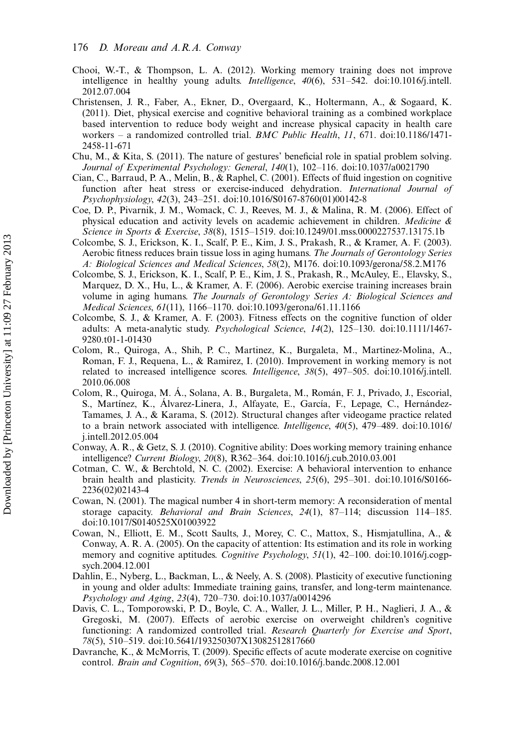- Chooi, W.-T., & Thompson, L. A. (2012). Working memory training does not improve intelligence in healthy young adults. *Intelligence*,  $40(6)$ ,  $531-542$ . doi:10.1016/j.intell. 2012.07.004
- Christensen, J. R., Faber, A., Ekner, D., Overgaard, K., Holtermann, A., & Sogaard, K. (2011). Diet, physical exercise and cognitive behavioral training as a combined workplace based intervention to reduce body weight and increase physical capacity in health care workers - a randomized controlled trial. BMC Public Health, 11, 671. doi:10.1186/1471-2458-11-671
- Chu, M., & Kita, S. (2011). The nature of gestures' beneficial role in spatial problem solving. Journal of Experimental Psychology: General,  $140(1)$ ,  $102-116$ . doi:10.1037/a0021790
- Cian, C., Barraud, P. A., Melin, B., & Raphel, C. (2001). Effects of fluid ingestion on cognitive function after heat stress or exercise-induced dehydration. International Journal of Psychophysiology, 42(3), 243-251. doi:10.1016/S0167-8760(01)00142-8
- Coe, D. P., Pivarnik, J. M., Womack, C. J., Reeves, M. J., & Malina, R. M. (2006). Effect of physical education and activity levels on academic achievement in children. Medicine & Science in Sports & Exercise, 38(8), 1515-1519. doi:10.1249/01.mss.0000227537.13175.1b
- Colcombe, S. J., Erickson, K. I., Scalf, P. E., Kim, J. S., Prakash, R., & Kramer, A. F. (2003). Aerobic fitness reduces brain tissue loss in aging humans. The Journals of Gerontology Series A: Biological Sciences and Medical Sciences, 58(2), M176. doi:10.1093/gerona/58.2.M176
- Colcombe, S. J., Erickson, K. I., Scalf, P. E., Kim, J. S., Prakash, R., McAuley, E., Elavsky, S., Marquez, D. X., Hu, L., & Kramer, A. F. (2006). Aerobic exercise training increases brain volume in aging humans. The Journals of Gerontology Series A: Biological Sciences and Medical Sciences, 61(11), 1166-1170. doi:10.1093/gerona/61.11.1166
- Colcombe, S. J., & Kramer, A. F. (2003). Fitness effects on the cognitive function of older adults: A meta-analytic study. *Psychological Science*, 14(2), 125–130. doi:10.1111/1467-9280.t01-1-01430
- Colom, R., Quiroga, A., Shih, P. C., Martinez, K., Burgaleta, M., Martinez-Molina, A., Roman, F. J., Requena, L., & Ramirez, I. (2010). Improvement in working memory is not related to increased intelligence scores. *Intelligence*, 38(5), 497–505. doi:10.1016/j.intell. 2010.06.008
- Colom, R., Quiroga, M. A., Solana, A. B., Burgaleta, M., Román, F. J., Privado, J., Escorial, S., Martínez, K., Álvarez-Linera, J., Alfayate, E., García, F., Lepage, C., Hernández-Tamames, J. A., & Karama, S. (2012). Structural changes after videogame practice related to a brain network associated with intelligence. *Intelligence*,  $40(5)$ ,  $479-489$ . doi:10.1016/ j.intell.2012.05.004
- Conway, A. R., & Getz, S. J. (2010). Cognitive ability: Does working memory training enhance intelligence? Current Biology, 20(8), R362-364. doi:10.1016/j.cub.2010.03.001
- Cotman, C. W., & Berchtold, N. C. (2002). Exercise: A behavioral intervention to enhance brain health and plasticity. Trends in Neurosciences,  $25(6)$ ,  $295-301$ . doi:10.1016/S0166-2236(02)02143-4
- Cowan, N. (2001). The magical number 4 in short-term memory: A reconsideration of mental storage capacity. Behavioral and Brain Sciences,  $24(1)$ ,  $87-114$ ; discussion 114-185. doi:10.1017/S0140525X01003922
- Cowan, N., Elliott, E. M., Scott Saults, J., Morey, C. C., Mattox, S., Hismjatullina, A., & Conway, A. R. A. (2005). On the capacity of attention: Its estimation and its role in working memory and cognitive aptitudes. Cognitive Psychology,  $5I(1)$ ,  $42-100$ . doi:10.1016/j.cogpsych.2004.12.001
- Dahlin, E., Nyberg, L., Backman, L., & Neely, A. S. (2008). Plasticity of executive functioning in young and older adults: Immediate training gains, transfer, and long-term maintenance. Psychology and Aging, 23(4), 720-730. doi:10.1037/a0014296
- Davis, C. L., Tomporowski, P. D., Boyle, C. A., Waller, J. L., Miller, P. H., Naglieri, J. A., & Gregoski, M. (2007). Effects of aerobic exercise on overweight children's cognitive functioning: A randomized controlled trial. Research Quarterly for Exercise and Sport, 78(5), 510-519. doi:10.5641/193250307X13082512817660
- Davranche, K., & McMorris, T. (2009). Specific effects of acute moderate exercise on cognitive control. Brain and Cognition, 69(3), 565-570. doi:10.1016/j.bandc.2008.12.001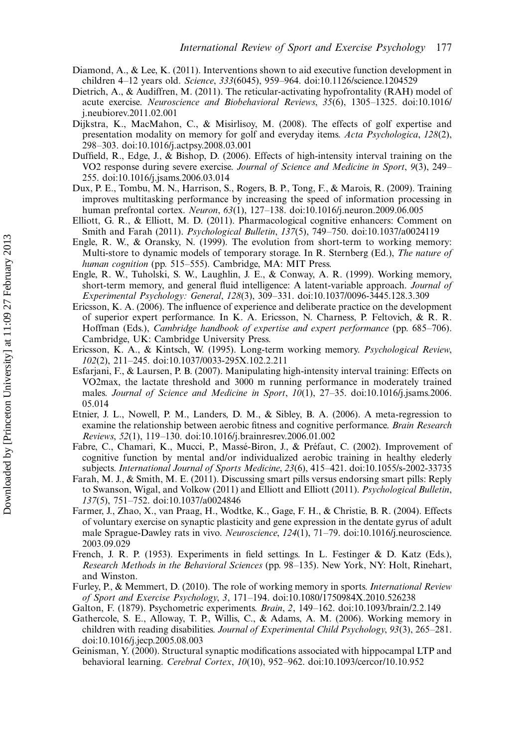- Diamond, A., & Lee, K. (2011). Interventions shown to aid executive function development in children 4-12 years old. Science, 333(6045), 959-964. doi:10.1126/science.1204529
- Dietrich, A., & Audiffren, M. (2011). The reticular-activating hypofrontality (RAH) model of acute exercise. Neuroscience and Biobehavioral Reviews, 35(6), 1305-1325. doi:10.1016/ j.neubiorev.2011.02.001
- Dijkstra, K., MacMahon, C., & Misirlisoy, M. (2008). The effects of golf expertise and presentation modality on memory for golf and everyday items. Acta Psychologica, 128(2), 298-303. doi:10.1016/j.actpsy.2008.03.001
- Duffield, R., Edge, J., & Bishop, D. (2006). Effects of high-intensity interval training on the VO2 response during severe exercise. Journal of Science and Medicine in Sport, 9(3), 249– 255. doi:10.1016/j.jsams.2006.03.014
- Dux, P. E., Tombu, M. N., Harrison, S., Rogers, B. P., Tong, F., & Marois, R. (2009). Training improves multitasking performance by increasing the speed of information processing in human prefrontal cortex. Neuron, 63(1), 127–138. doi:10.1016/j.neuron.2009.06.005
- Elliott, G. R., & Elliott, M. D. (2011). Pharmacological cognitive enhancers: Comment on Smith and Farah (2011). *Psychological Bulletin*, 137(5), 749-750. doi:10.1037/a0024119
- Engle, R. W., & Oransky, N. (1999). The evolution from short-term to working memory: Multi-store to dynamic models of temporary storage. In R. Sternberg (Ed.), *The nature of* human cognition (pp. 515–555). Cambridge, MA: MIT Press.
- Engle, R. W., Tuholski, S. W., Laughlin, J. E., & Conway, A. R. (1999). Working memory, short-term memory, and general fluid intelligence: A latent-variable approach. Journal of Experimental Psychology: General, 128(3), 309–331. doi:10.1037/0096-3445.128.3.309
- Ericsson, K. A. (2006). The influence of experience and deliberate practice on the development of superior expert performance. In K. A. Ericsson, N. Charness, P. Feltovich, & R. R. Hoffman (Eds.), Cambridge handbook of expertise and expert performance (pp. 685-706). Cambridge, UK: Cambridge University Press.
- Ericsson, K. A., & Kintsch, W. (1995). Long-term working memory. Psychological Review, 102(2), 211245. doi:10.1037/0033-295X.102.2.211
- Esfarjani, F., & Laursen, P. B. (2007). Manipulating high-intensity interval training: Effects on VO2max, the lactate threshold and 3000 m running performance in moderately trained males. Journal of Science and Medicine in Sport,  $10(1)$ ,  $27-35$ . doi:10.1016/j.jsams.2006. 05.014
- Etnier, J. L., Nowell, P. M., Landers, D. M., & Sibley, B. A. (2006). A meta-regression to examine the relationship between aerobic fitness and cognitive performance. Brain Research Reviews, 52(1), 119-130. doi:10.1016/j.brainresrev.2006.01.002
- Fabre, C., Chamari, K., Mucci, P., Massé-Biron, J., & Préfaut, C. (2002). Improvement of cognitive function by mental and/or individualized aerobic training in healthy elederly subjects. International Journal of Sports Medicine, 23(6), 415-421. doi:10.1055/s-2002-33735
- Farah, M. J., & Smith, M. E. (2011). Discussing smart pills versus endorsing smart pills: Reply to Swanson, Wigal, and Volkow (2011) and Elliott and Elliott (2011). Psychological Bulletin, 137(5), 751-752. doi:10.1037/a0024846
- Farmer, J., Zhao, X., van Praag, H., Wodtke, K., Gage, F. H., & Christie, B. R. (2004). Effects of voluntary exercise on synaptic plasticity and gene expression in the dentate gyrus of adult male Sprague-Dawley rats in vivo. Neuroscience,  $124(1)$ ,  $71-79$ . doi:10.1016/j.neuroscience. 2003.09.029
- French, J. R. P. (1953). Experiments in field settings. In L. Festinger & D. Katz (Eds.), Research Methods in the Behavioral Sciences (pp. 98-135). New York, NY: Holt, Rinehart, and Winston.
- Furley, P., & Memmert, D. (2010). The role of working memory in sports. International Review of Sport and Exercise Psychology, 3, 171-194. doi:10.1080/1750984X.2010.526238
- Galton, F. (1879). Psychometric experiments. Brain, 2, 149-162. doi:10.1093/brain/2.2.149
- Gathercole, S. E., Alloway, T. P., Willis, C., & Adams, A. M. (2006). Working memory in children with reading disabilities. Journal of Experimental Child Psychology, 93(3), 265-281. doi:10.1016/j.jecp.2005.08.003
- Geinisman, Y. (2000). Structural synaptic modifications associated with hippocampal LTP and behavioral learning. Cerebral Cortex, 10(10), 952-962. doi:10.1093/cercor/10.10.952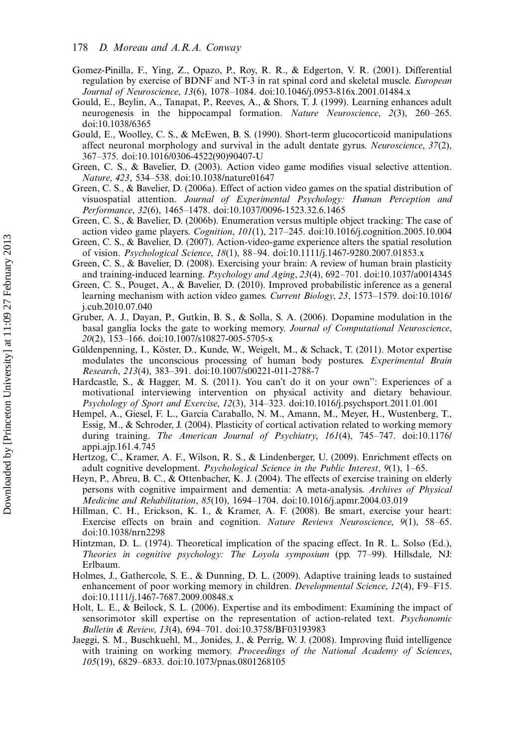- Gomez-Pinilla, F., Ying, Z., Opazo, P., Roy, R. R., & Edgerton, V. R. (2001). Differential regulation by exercise of BDNF and NT-3 in rat spinal cord and skeletal muscle. European Journal of Neuroscience, 13(6), 1078-1084. doi:10.1046/j.0953-816x.2001.01484.x
- Gould, E., Beylin, A., Tanapat, P., Reeves, A., & Shors, T. J. (1999). Learning enhances adult neurogenesis in the hippocampal formation. Nature Neuroscience, 2(3), 260–265. doi:10.1038/6365
- Gould, E., Woolley, C. S., & McEwen, B. S. (1990). Short-term glucocorticoid manipulations affect neuronal morphology and survival in the adult dentate gyrus. Neuroscience, 37(2), 367375. doi:10.1016/0306-4522(90)90407-U
- Green, C. S., & Bavelier, D. (2003). Action video game modifies visual selective attention. Nature, 423, 534-538. doi:10.1038/nature01647
- Green, C. S., & Bavelier, D. (2006a). Effect of action video games on the spatial distribution of visuospatial attention. Journal of Experimental Psychology: Human Perception and Performance, 32(6), 1465-1478. doi:10.1037/0096-1523.32.6.1465
- Green, C. S., & Bavelier, D. (2006b). Enumeration versus multiple object tracking: The case of action video game players. *Cognition*, 101(1), 217-245. doi:10.1016/j.cognition.2005.10.004
- Green, C. S., & Bavelier, D. (2007). Action-video-game experience alters the spatial resolution of vision. *Psychological Science*, 18(1), 88–94. doi:10.1111/j.1467-9280.2007.01853.x
- Green, C. S., & Bavelier, D. (2008). Exercising your brain: A review of human brain plasticity and training-induced learning. *Psychology and Aging*,  $23(4)$ ,  $692-701$ . doi:10.1037/a0014345
- Green, C. S., Pouget, A., & Bavelier, D. (2010). Improved probabilistic inference as a general learning mechanism with action video games. Current Biology, 23, 1573-1579. doi:10.1016/ j.cub.2010.07.040
- Gruber, A. J., Dayan, P., Gutkin, B. S., & Solla, S. A. (2006). Dopamine modulation in the basal ganglia locks the gate to working memory. Journal of Computational Neuroscience, 20(2), 153-166. doi:10.1007/s10827-005-5705-x
- Güldenpenning, I., Köster, D., Kunde, W., Weigelt, M., & Schack, T. (2011). Motor expertise modulates the unconscious processing of human body postures. Experimental Brain Research, 213(4), 383-391. doi:10.1007/s00221-011-2788-7
- Hardcastle, S., & Hagger, M. S. (2011). You can't do it on your own'': Experiences of a motivational interviewing intervention on physical activity and dietary behaviour. Psychology of Sport and Exercise, 12(3), 314-323. doi:10.1016/j.psychsport.2011.01.001
- Hempel, A., Giesel, F. L., Garcia Caraballo, N. M., Amann, M., Meyer, H., Wustenberg, T., Essig, M., & Schroder, J. (2004). Plasticity of cortical activation related to working memory during training. The American Journal of Psychiatry,  $161(4)$ ,  $745-747$ . doi:10.1176/ appi.ajp.161.4.745
- Hertzog, C., Kramer, A. F., Wilson, R. S., & Lindenberger, U. (2009). Enrichment effects on adult cognitive development. *Psychological Science in the Public Interest*,  $9(1)$ ,  $1-65$ .
- Heyn, P., Abreu, B. C., & Ottenbacher, K. J. (2004). The effects of exercise training on elderly persons with cognitive impairment and dementia: A meta-analysis. Archives of Physical Medicine and Rehabilitation, 85(10), 1694-1704. doi:10.1016/j.apmr.2004.03.019
- Hillman, C. H., Erickson, K. I., & Kramer, A. F. (2008). Be smart, exercise your heart: Exercise effects on brain and cognition. Nature Reviews Neuroscience,  $9(1)$ , 58–65. doi:10.1038/nrn2298
- Hintzman, D. L. (1974). Theoretical implication of the spacing effect. In R. L. Solso (Ed.), Theories in cognitive psychology: The Loyola symposium (pp. 77-99). Hillsdale, NJ: Erlbaum.
- Holmes, J., Gathercole, S. E., & Dunning, D. L. (2009). Adaptive training leads to sustained enhancement of poor working memory in children. *Developmental Science*,  $12(4)$ , F9–F15. doi:10.1111/j.1467-7687.2009.00848.x
- Holt, L. E., & Beilock, S. L. (2006). Expertise and its embodiment: Examining the impact of sensorimotor skill expertise on the representation of action-related text. Psychonomic Bulletin & Review, 13(4), 694-701. doi:10.3758/BF03193983
- Jaeggi, S. M., Buschkuehl, M., Jonides, J., & Perrig, W. J. (2008). Improving fluid intelligence with training on working memory. Proceedings of the National Academy of Sciences, 105(19), 6829–6833. doi:10.1073/pnas.0801268105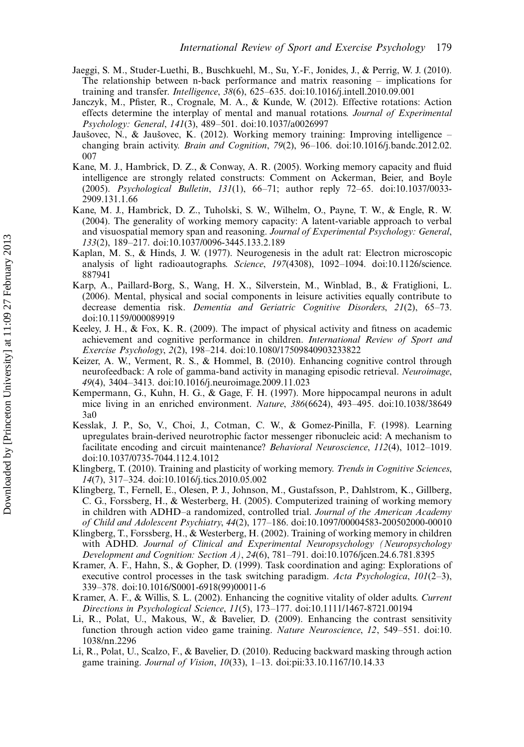- Jaeggi, S. M., Studer-Luethi, B., Buschkuehl, M., Su, Y.-F., Jonides, J., & Perrig, W. J. (2010). The relationship between n-back performance and matrix reasoning  $-$  implications for training and transfer. *Intelligence*, 38(6), 625-635. doi:10.1016/j.intell.2010.09.001
- Janczyk, M., Pfister, R., Crognale, M. A., & Kunde, W. (2012). Effective rotations: Action effects determine the interplay of mental and manual rotations. Journal of Experimental Psychology: General, 141(3), 489-501. doi:10.1037/a0026997
- Jaušovec, N., & Jaušovec, K. (2012). Working memory training: Improving intelligence changing brain activity. Brain and Cognition, 79(2), 96-106. doi:10.1016/j.bandc.2012.02. 007
- Kane, M. J., Hambrick, D. Z., & Conway, A. R. (2005). Working memory capacity and fluid intelligence are strongly related constructs: Comment on Ackerman, Beier, and Boyle (2005). Psychological Bulletin,  $131(1)$ ,  $66-71$ ; author reply 72-65. doi:10.1037/0033-2909.131.1.66
- Kane, M. J., Hambrick, D. Z., Tuholski, S. W., Wilhelm, O., Payne, T. W., & Engle, R. W. (2004). The generality of working memory capacity: A latent-variable approach to verbal and visuospatial memory span and reasoning. Journal of Experimental Psychology: General, 133(2), 189-217. doi:10.1037/0096-3445.133.2.189
- Kaplan, M. S., & Hinds, J. W. (1977). Neurogenesis in the adult rat: Electron microscopic analysis of light radioautographs. Science, 197(4308), 1092-1094. doi:10.1126/science. 887941
- Karp, A., Paillard-Borg, S., Wang, H. X., Silverstein, M., Winblad, B., & Fratiglioni, L. (2006). Mental, physical and social components in leisure activities equally contribute to decrease dementia risk. Dementia and Geriatric Cognitive Disorders,  $21(2)$ , 65-73. doi:10.1159/000089919
- Keeley, J. H., & Fox, K. R. (2009). The impact of physical activity and fitness on academic achievement and cognitive performance in children. International Review of Sport and Exercise Psychology, 2(2), 198–214. doi:10.1080/17509840903233822
- Keizer, A. W., Verment, R. S., & Hommel, B. (2010). Enhancing cognitive control through neurofeedback: A role of gamma-band activity in managing episodic retrieval. Neuroimage, 49(4), 3404–3413. doi:10.1016/j.neuroimage.2009.11.023
- Kempermann, G., Kuhn, H. G., & Gage, F. H. (1997). More hippocampal neurons in adult mice living in an enriched environment. Nature, 386(6624), 493-495. doi:10.1038/38649 3a0
- Kesslak, J. P., So, V., Choi, J., Cotman, C. W., & Gomez-Pinilla, F. (1998). Learning upregulates brain-derived neurotrophic factor messenger ribonucleic acid: A mechanism to facilitate encoding and circuit maintenance? *Behavioral Neuroscience*,  $112(4)$ ,  $1012-1019$ . doi:10.1037/0735-7044.112.4.1012
- Klingberg, T. (2010). Training and plasticity of working memory. Trends in Cognitive Sciences, 14(7), 317-324. doi:10.1016/j.tics.2010.05.002
- Klingberg, T., Fernell, E., Olesen, P. J., Johnson, M., Gustafsson, P., Dahlstrom, K., Gillberg, C. G., Forssberg, H., & Westerberg, H. (2005). Computerized training of working memory in children with ADHD-a randomized, controlled trial. Journal of the American Academy of Child and Adolescent Psychiatry, 44(2), 177186. doi:10.1097/00004583-200502000-00010
- Klingberg, T., Forssberg, H., & Westerberg, H. (2002). Training of working memory in children with ADHD. Journal of Clinical and Experimental Neuropsychology (Neuropsychology Development and Cognition: Section  $A$ ), 24(6), 781-791. doi:10.1076/jcen.24.6.781.8395
- Kramer, A. F., Hahn, S., & Gopher, D. (1999). Task coordination and aging: Explorations of executive control processes in the task switching paradigm. Acta Psychologica,  $101(2-3)$ , 339378. doi:10.1016/S0001-6918(99)00011-6
- Kramer, A. F., & Willis, S. L. (2002). Enhancing the cognitive vitality of older adults. Current Directions in Psychological Science, 11(5), 173-177. doi:10.1111/1467-8721.00194
- Li, R., Polat, U., Makous, W., & Bavelier, D. (2009). Enhancing the contrast sensitivity function through action video game training. Nature Neuroscience, 12, 549-551. doi:10. 1038/nn.2296
- Li, R., Polat, U., Scalzo, F., & Bavelier, D. (2010). Reducing backward masking through action game training. *Journal of Vision*, 10(33), 1–13. doi:pii:33.10.1167/10.14.33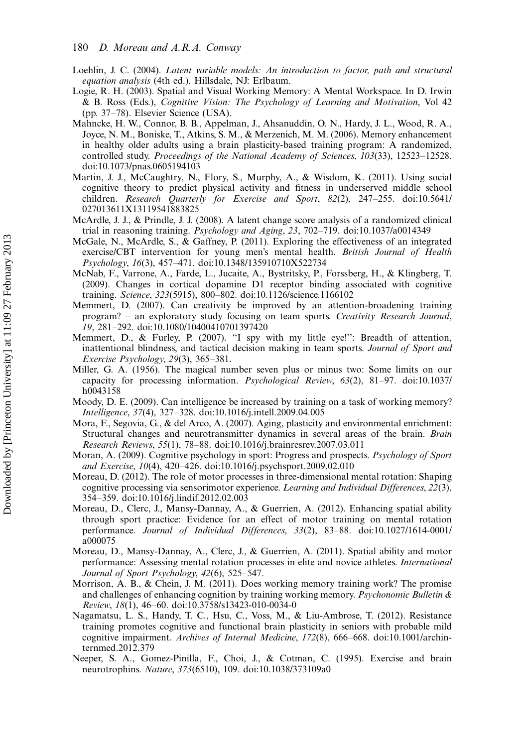- Loehlin, J. C. (2004). Latent variable models: An introduction to factor, path and structural equation analysis (4th ed.). Hillsdale, NJ: Erlbaum.
- Logie, R. H. (2003). Spatial and Visual Working Memory: A Mental Workspace. In D. Irwin & B. Ross (Eds.), Cognitive Vision: The Psychology of Learning and Motivation, Vol 42 (pp.  $37-78$ ). Elsevier Science (USA).
- Mahncke, H. W., Connor, B. B., Appelman, J., Ahsanuddin, O. N., Hardy, J. L., Wood, R. A., Joyce, N. M., Boniske, T., Atkins, S. M., & Merzenich, M. M. (2006). Memory enhancement in healthy older adults using a brain plasticity-based training program: A randomized, controlled study. Proceedings of the National Academy of Sciences,  $103(33)$ ,  $12523-12528$ . doi:10.1073/pnas.0605194103
- Martin, J. J., McCaughtry, N., Flory, S., Murphy, A., & Wisdom, K. (2011). Using social cognitive theory to predict physical activity and fitness in underserved middle school children. Research Quarterly for Exercise and Sport, 82(2), 247-255. doi:10.5641/ 027013611X13119541883825
- McArdle, J. J., & Prindle, J. J. (2008). A latent change score analysis of a randomized clinical trial in reasoning training. *Psychology and Aging*,  $23$ ,  $702-719$ . doi:10.1037/a0014349
- McGale, N., McArdle, S., & Gaffney, P. (2011). Exploring the effectiveness of an integrated exercise/CBT intervention for young men's mental health. British Journal of Health Psychology, 16(3), 457-471. doi:10.1348/135910710X522734
- McNab, F., Varrone, A., Farde, L., Jucaite, A., Bystritsky, P., Forssberg, H., & Klingberg, T. (2009). Changes in cortical dopamine D1 receptor binding associated with cognitive training. Science, 323(5915), 800-802. doi:10.1126/science.1166102
- Memmert, D. (2007). Can creativity be improved by an attention-broadening training program? – an exploratory study focusing on team sports. Creativity Research Journal, 19, 281292. doi:10.1080/10400410701397420
- Memmert, D., & Furley, P. (2007). "I spy with my little eye!": Breadth of attention, inattentional blindness, and tactical decision making in team sports. Journal of Sport and Exercise Psychology,  $29(3)$ ,  $365-381$ .
- Miller, G. A. (1956). The magical number seven plus or minus two: Some limits on our capacity for processing information. *Psychological Review*,  $63(2)$ ,  $81-97$ . doi:10.1037/ h0043158
- Moody, D. E. (2009). Can intelligence be increased by training on a task of working memory? Intelligence, 37(4), 327–328. doi:10.1016/j.intell.2009.04.005
- Mora, F., Segovia, G., & del Arco, A. (2007). Aging, plasticity and environmental enrichment: Structural changes and neurotransmitter dynamics in several areas of the brain. Brain Research Reviews, 55(1), 78-88. doi:10.1016/j.brainresrev.2007.03.011
- Moran, A. (2009). Cognitive psychology in sport: Progress and prospects. Psychology of Sport and Exercise, 10(4), 420-426. doi:10.1016/j.psychsport.2009.02.010
- Moreau, D. (2012). The role of motor processes in three-dimensional mental rotation: Shaping cognitive processing via sensorimotor experience. Learning and Individual Differences, 22(3), 354359. doi:10.1016/j.lindif.2012.02.003
- Moreau, D., Clerc, J., Mansy-Dannay, A., & Guerrien, A. (2012). Enhancing spatial ability through sport practice: Evidence for an effect of motor training on mental rotation performance. Journal of Individual Differences, 33(2), 83-88. doi:10.1027/1614-0001/ a000075
- Moreau, D., Mansy-Dannay, A., Clerc, J., & Guerrien, A. (2011). Spatial ability and motor performance: Assessing mental rotation processes in elite and novice athletes. International Journal of Sport Psychology, 42(6), 525-547.
- Morrison, A. B., & Chein, J. M. (2011). Does working memory training work? The promise and challenges of enhancing cognition by training working memory. Psychonomic Bulletin  $\&$ Review, 18(1), 46-60. doi:10.3758/s13423-010-0034-0
- Nagamatsu, L. S., Handy, T. C., Hsu, C., Voss, M., & Liu-Ambrose, T. (2012). Resistance training promotes cognitive and functional brain plasticity in seniors with probable mild cognitive impairment. Archives of Internal Medicine, 172(8), 666–668. doi:10.1001/archinternmed.2012.379
- Neeper, S. A., Gomez-Pinilla, F., Choi, J., & Cotman, C. (1995). Exercise and brain neurotrophins. Nature, 373(6510), 109. doi:10.1038/373109a0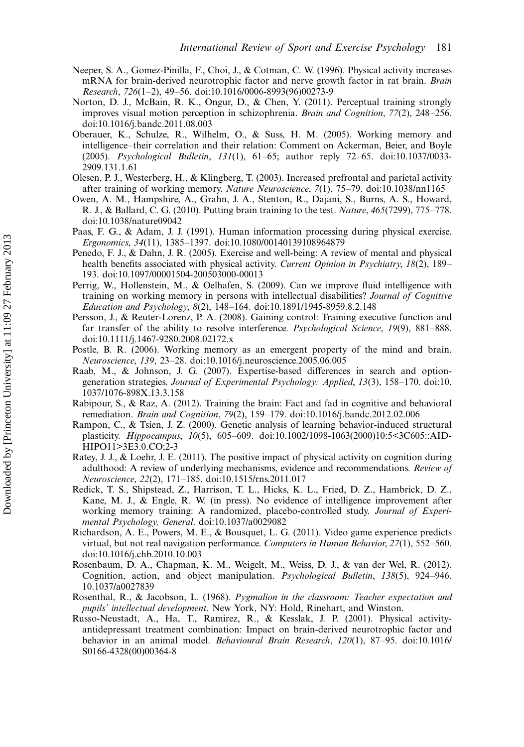- Neeper, S. A., Gomez-Pinilla, F., Choi, J., & Cotman, C. W. (1996). Physical activity increases mRNA for brain-derived neurotrophic factor and nerve growth factor in rat brain. Brain Research, 726(1-2), 49-56. doi:10.1016/0006-8993(96)00273-9
- Norton, D. J., McBain, R. K., Ongur, D., & Chen, Y. (2011). Perceptual training strongly improves visual motion perception in schizophrenia. Brain and Cognition, 77(2), 248–256. doi:10.1016/j.bandc.2011.08.003
- Oberauer, K., Schulze, R., Wilhelm, O., & Suss, H. M. (2005). Working memory and intelligence-their correlation and their relation: Comment on Ackerman, Beier, and Boyle (2005). *Psychological Bulletin*,  $131(1)$ ,  $61-65$ ; author reply 72-65. doi:10.1037/0033-2909.131.1.61
- Olesen, P. J., Westerberg, H., & Klingberg, T. (2003). Increased prefrontal and parietal activity after training of working memory. Nature Neuroscience, 7(1), 75–79. doi:10.1038/nn1165
- Owen, A. M., Hampshire, A., Grahn, J. A., Stenton, R., Dajani, S., Burns, A. S., Howard, R. J., & Ballard, C. G. (2010). Putting brain training to the test. Nature,  $465(7299)$ ,  $775-778$ . doi:10.1038/nature09042
- Paas, F. G., & Adam, J. J. (1991). Human information processing during physical exercise. Ergonomics, 34(11), 1385-1397. doi:10.1080/00140139108964879
- Penedo, F. J., & Dahn, J. R. (2005). Exercise and well-being: A review of mental and physical health benefits associated with physical activity. Current Opinion in Psychiatry, 18(2), 189-193. doi:10.1097/00001504-200503000-00013
- Perrig, W., Hollenstein, M., & Oelhafen, S. (2009). Can we improve fluid intelligence with training on working memory in persons with intellectual disabilities? Journal of Cognitive Education and Psychology, 8(2), 148-164. doi:10.1891/1945-8959.8.2.148
- Persson, J., & Reuter-Lorenz, P. A. (2008). Gaining control: Training executive function and far transfer of the ability to resolve interference. *Psychological Science*,  $19(9)$ ,  $881-888$ . doi:10.1111/j.1467-9280.2008.02172.x
- Postle, B. R. (2006). Working memory as an emergent property of the mind and brain. Neuroscience, 139, 23-28. doi:10.1016/j.neuroscience.2005.06.005
- Raab, M., & Johnson, J. G. (2007). Expertise-based differences in search and optiongeneration strategies. Journal of Experimental Psychology: Applied, 13(3), 158-170. doi:10. 1037/1076-898X.13.3.158
- Rabipour, S., & Raz, A. (2012). Training the brain: Fact and fad in cognitive and behavioral remediation. Brain and Cognition, 79(2), 159-179. doi:10.1016/j.bandc.2012.02.006
- Rampon, C., & Tsien, J. Z. (2000). Genetic analysis of learning behavior-induced structural plasticity. Hippocampus, 10(5), 605-609. doi:10.1002/1098-1063(2000)10:5<3C605::AID-HIPO11>3E3.0.CO;2-3
- Ratey, J. J., & Loehr, J. E. (2011). The positive impact of physical activity on cognition during adulthood: A review of underlying mechanisms, evidence and recommendations. Review of Neuroscience, 22(2), 171-185. doi:10.1515/rns.2011.017
- Redick, T. S., Shipstead, Z., Harrison, T. L., Hicks, K. L., Fried, D. Z., Hambrick, D. Z., Kane, M. J., & Engle, R. W. (in press). No evidence of intelligence improvement after working memory training: A randomized, placebo-controlled study. Journal of Experimental Psychology, General. doi:10.1037/a0029082
- Richardson, A. E., Powers, M. E., & Bousquet, L. G. (2011). Video game experience predicts virtual, but not real navigation performance. Computers in Human Behavior,  $27(1)$ , 552-560. doi:10.1016/j.chb.2010.10.003
- Rosenbaum, D. A., Chapman, K. M., Weigelt, M., Weiss, D. J., & van der Wel, R. (2012). Cognition, action, and object manipulation. *Psychological Bulletin*, 138(5), 924–946. 10.1037/a0027839
- Rosenthal, R., & Jacobson, L. (1968). Pygmalion in the classroom: Teacher expectation and pupils' intellectual development. New York, NY: Hold, Rinehart, and Winston.
- Russo-Neustadt, A., Ha, T., Ramirez, R., & Kesslak, J. P. (2001). Physical activityantidepressant treatment combination: Impact on brain-derived neurotrophic factor and behavior in an animal model. Behavioural Brain Research, 120(1), 87–95. doi:10.1016/ S0166-4328(00)00364-8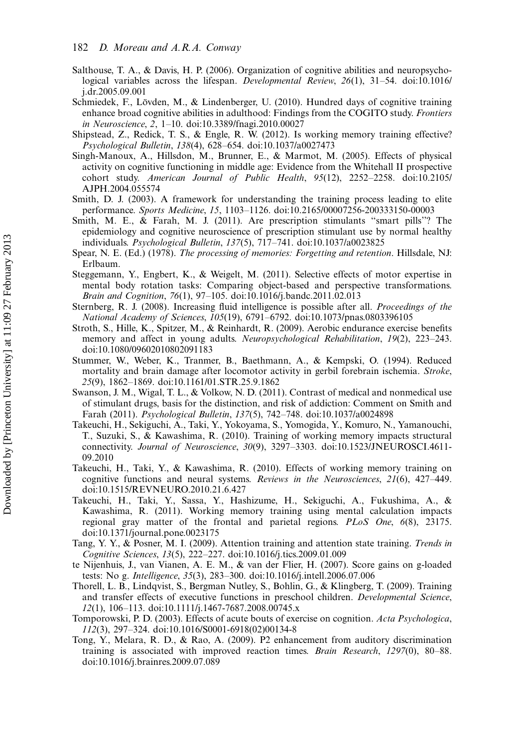- Salthouse, T. A., & Davis, H. P. (2006). Organization of cognitive abilities and neuropsychological variables across the lifespan. Developmental Review,  $26(1)$ ,  $31-54$ . doi:10.1016/ j.dr.2005.09.001
- Schmiedek, F., Lövden, M., & Lindenberger, U. (2010). Hundred days of cognitive training enhance broad cognitive abilities in adulthood: Findings from the COGITO study. Frontiers in Neuroscience, 2, 1-10. doi:10.3389/fnagi.2010.00027
- Shipstead, Z., Redick, T. S., & Engle, R. W. (2012). Is working memory training effective? Psychological Bulletin, 138(4), 628-654. doi:10.1037/a0027473
- Singh-Manoux, A., Hillsdon, M., Brunner, E., & Marmot, M. (2005). Effects of physical activity on cognitive functioning in middle age: Evidence from the Whitehall II prospective cohort study. American Journal of Public Health,  $95(12)$ ,  $2252-2258$ . doi:10.2105/ AJPH.2004.055574
- Smith, D. J. (2003). A framework for understanding the training process leading to elite performance. Sports Medicine, 15, 1103-1126. doi:10.2165/00007256-200333150-00003
- Smith, M. E., & Farah, M. J. (2011). Are prescription stimulants ''smart pills''? The epidemiology and cognitive neuroscience of prescription stimulant use by normal healthy individuals. Psychological Bulletin, 137(5), 717-741. doi:10.1037/a0023825
- Spear, N. E. (Ed.) (1978). The processing of memories: Forgetting and retention. Hillsdale, NJ: Erlbaum.
- Steggemann, Y., Engbert, K., & Weigelt, M. (2011). Selective effects of motor expertise in mental body rotation tasks: Comparing object-based and perspective transformations. Brain and Cognition, 76(1), 97-105. doi:10.1016/j.bandc.2011.02.013
- Sternberg, R. J. (2008). Increasing fluid intelligence is possible after all. Proceedings of the National Academy of Sciences, 105(19), 6791-6792. doi:10.1073/pnas.0803396105
- Stroth, S., Hille, K., Spitzer, M., & Reinhardt, R. (2009). Aerobic endurance exercise benefits memory and affect in young adults. Neuropsychological Rehabilitation, 19(2), 223-243. doi:10.1080/09602010802091183
- Stummer, W., Weber, K., Tranmer, B., Baethmann, A., & Kempski, O. (1994). Reduced mortality and brain damage after locomotor activity in gerbil forebrain ischemia. Stroke, 25(9), 1862-1869. doi:10.1161/01.STR.25.9.1862
- Swanson, J. M., Wigal, T. L., & Volkow, N. D. (2011). Contrast of medical and nonmedical use of stimulant drugs, basis for the distinction, and risk of addiction: Comment on Smith and Farah (2011). Psychological Bulletin, 137(5), 742-748. doi:10.1037/a0024898
- Takeuchi, H., Sekiguchi, A., Taki, Y., Yokoyama, S., Yomogida, Y., Komuro, N., Yamanouchi, T., Suzuki, S., & Kawashima, R. (2010). Training of working memory impacts structural connectivity. Journal of Neuroscience, 30(9), 3297-3303. doi:10.1523/JNEUROSCI.4611-09.2010
- Takeuchi, H., Taki, Y., & Kawashima, R. (2010). Effects of working memory training on cognitive functions and neural systems. Reviews in the Neurosciences,  $2I(6)$ ,  $427-449$ . doi:10.1515/REVNEURO.2010.21.6.427
- Takeuchi, H., Taki, Y., Sassa, Y., Hashizume, H., Sekiguchi, A., Fukushima, A., & Kawashima, R. (2011). Working memory training using mental calculation impacts regional gray matter of the frontal and parietal regions. PLoS One, 6(8), 23175. doi:10.1371/journal.pone.0023175
- Tang, Y. Y., & Posner, M. I. (2009). Attention training and attention state training. Trends in Cognitive Sciences, 13(5), 222-227. doi:10.1016/j.tics.2009.01.009
- te Nijenhuis, J., van Vianen, A. E. M., & van der Flier, H. (2007). Score gains on g-loaded tests: No g. Intelligence, 35(3), 283-300. doi:10.1016/j.intell.2006.07.006
- Thorell, L. B., Lindqvist, S., Bergman Nutley, S., Bohlin, G., & Klingberg, T. (2009). Training and transfer effects of executive functions in preschool children. Developmental Science, 12(1), 106-113. doi:10.1111/j.1467-7687.2008.00745.x
- Tomporowski, P. D. (2003). Effects of acute bouts of exercise on cognition. Acta Psychologica, 112(3), 297–324. doi:10.1016/S0001-6918(02)00134-8
- Tong, Y., Melara, R. D., & Rao, A. (2009). P2 enhancement from auditory discrimination training is associated with improved reaction times. Brain Research, 1297(0), 80-88. doi:10.1016/j.brainres.2009.07.089